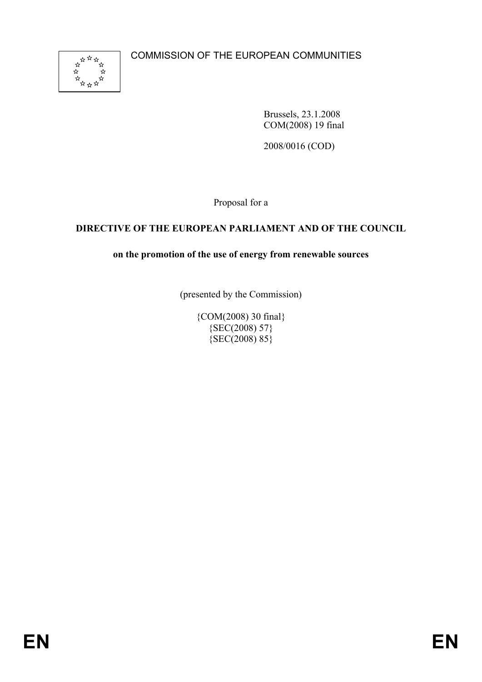

Brussels, 23.1.2008 COM(2008) 19 final

2008/0016 (COD)

Proposal for a

## **DIRECTIVE OF THE EUROPEAN PARLIAMENT AND OF THE COUNCIL**

## **on the promotion of the use of energy from renewable sources**

(presented by the Commission)

{COM(2008) 30 final}  ${SEC(2008) 57}$ {SEC(2008) 85}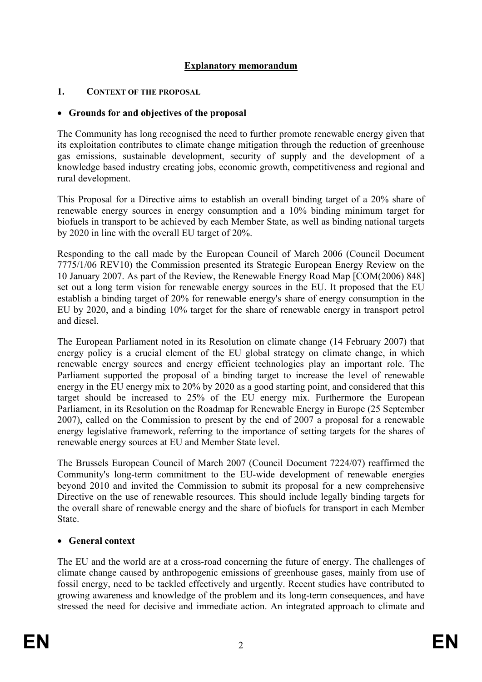### **Explanatory memorandum**

#### **1. CONTEXT OF THE PROPOSAL**

#### • **Grounds for and objectives of the proposal**

The Community has long recognised the need to further promote renewable energy given that its exploitation contributes to climate change mitigation through the reduction of greenhouse gas emissions, sustainable development, security of supply and the development of a knowledge based industry creating jobs, economic growth, competitiveness and regional and rural development.

This Proposal for a Directive aims to establish an overall binding target of a 20% share of renewable energy sources in energy consumption and a 10% binding minimum target for biofuels in transport to be achieved by each Member State, as well as binding national targets by 2020 in line with the overall EU target of 20%.

Responding to the call made by the European Council of March 2006 (Council Document 7775/1/06 REV10) the Commission presented its Strategic European Energy Review on the 10 January 2007. As part of the Review, the Renewable Energy Road Map [COM(2006) 848] set out a long term vision for renewable energy sources in the EU. It proposed that the EU establish a binding target of 20% for renewable energy's share of energy consumption in the EU by 2020, and a binding 10% target for the share of renewable energy in transport petrol and diesel.

The European Parliament noted in its Resolution on climate change (14 February 2007) that energy policy is a crucial element of the EU global strategy on climate change, in which renewable energy sources and energy efficient technologies play an important role. The Parliament supported the proposal of a binding target to increase the level of renewable energy in the EU energy mix to 20% by 2020 as a good starting point, and considered that this target should be increased to 25% of the EU energy mix. Furthermore the European Parliament, in its Resolution on the Roadmap for Renewable Energy in Europe (25 September 2007), called on the Commission to present by the end of 2007 a proposal for a renewable energy legislative framework, referring to the importance of setting targets for the shares of renewable energy sources at EU and Member State level.

The Brussels European Council of March 2007 (Council Document 7224/07) reaffirmed the Community's long-term commitment to the EU-wide development of renewable energies beyond 2010 and invited the Commission to submit its proposal for a new comprehensive Directive on the use of renewable resources. This should include legally binding targets for the overall share of renewable energy and the share of biofuels for transport in each Member **State** 

### • **General context**

The EU and the world are at a cross-road concerning the future of energy. The challenges of climate change caused by anthropogenic emissions of greenhouse gases, mainly from use of fossil energy, need to be tackled effectively and urgently. Recent studies have contributed to growing awareness and knowledge of the problem and its long-term consequences, and have stressed the need for decisive and immediate action. An integrated approach to climate and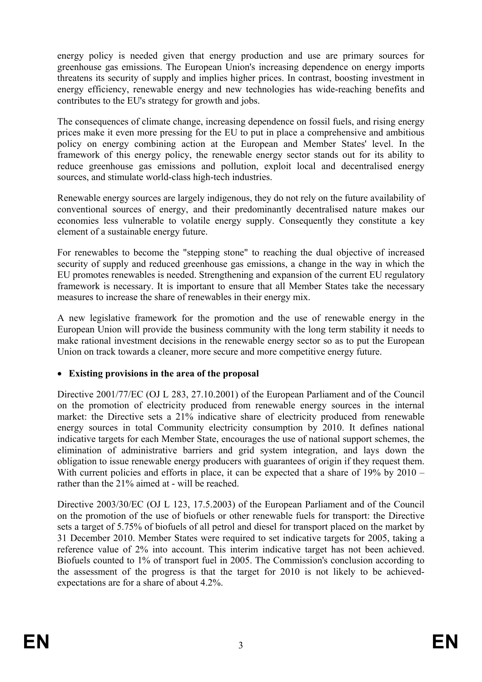energy policy is needed given that energy production and use are primary sources for greenhouse gas emissions. The European Union's increasing dependence on energy imports threatens its security of supply and implies higher prices. In contrast, boosting investment in energy efficiency, renewable energy and new technologies has wide-reaching benefits and contributes to the EU's strategy for growth and jobs.

The consequences of climate change, increasing dependence on fossil fuels, and rising energy prices make it even more pressing for the EU to put in place a comprehensive and ambitious policy on energy combining action at the European and Member States' level. In the framework of this energy policy, the renewable energy sector stands out for its ability to reduce greenhouse gas emissions and pollution, exploit local and decentralised energy sources, and stimulate world-class high-tech industries.

Renewable energy sources are largely indigenous, they do not rely on the future availability of conventional sources of energy, and their predominantly decentralised nature makes our economies less vulnerable to volatile energy supply. Consequently they constitute a key element of a sustainable energy future.

For renewables to become the "stepping stone" to reaching the dual objective of increased security of supply and reduced greenhouse gas emissions, a change in the way in which the EU promotes renewables is needed. Strengthening and expansion of the current EU regulatory framework is necessary. It is important to ensure that all Member States take the necessary measures to increase the share of renewables in their energy mix.

A new legislative framework for the promotion and the use of renewable energy in the European Union will provide the business community with the long term stability it needs to make rational investment decisions in the renewable energy sector so as to put the European Union on track towards a cleaner, more secure and more competitive energy future.

### • **Existing provisions in the area of the proposal**

Directive 2001/77/EC (OJ L 283, 27.10.2001) of the European Parliament and of the Council on the promotion of electricity produced from renewable energy sources in the internal market: the Directive sets a 21% indicative share of electricity produced from renewable energy sources in total Community electricity consumption by 2010. It defines national indicative targets for each Member State, encourages the use of national support schemes, the elimination of administrative barriers and grid system integration, and lays down the obligation to issue renewable energy producers with guarantees of origin if they request them. With current policies and efforts in place, it can be expected that a share of 19% by 2010 – rather than the 21% aimed at - will be reached.

Directive 2003/30/EC (OJ L 123, 17.5.2003) of the European Parliament and of the Council on the promotion of the use of biofuels or other renewable fuels for transport: the Directive sets a target of 5.75% of biofuels of all petrol and diesel for transport placed on the market by 31 December 2010. Member States were required to set indicative targets for 2005, taking a reference value of 2% into account. This interim indicative target has not been achieved. Biofuels counted to 1% of transport fuel in 2005. The Commission's conclusion according to the assessment of the progress is that the target for 2010 is not likely to be achievedexpectations are for a share of about 4.2%.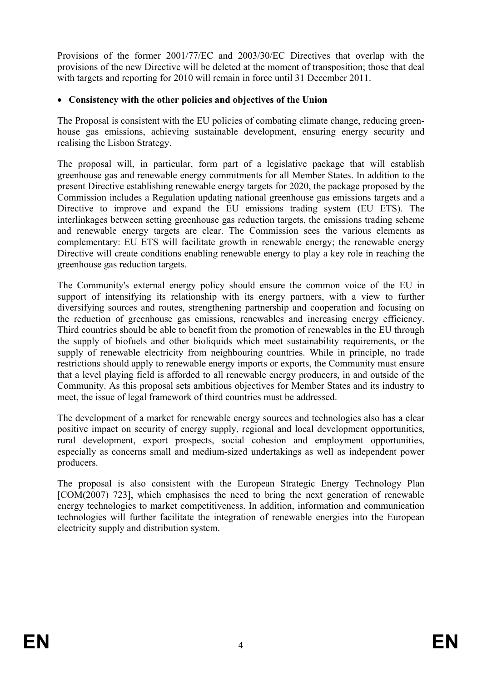Provisions of the former 2001/77/EC and 2003/30/EC Directives that overlap with the provisions of the new Directive will be deleted at the moment of transposition; those that deal with targets and reporting for 2010 will remain in force until 31 December 2011.

### • **Consistency with the other policies and objectives of the Union**

The Proposal is consistent with the EU policies of combating climate change, reducing greenhouse gas emissions, achieving sustainable development, ensuring energy security and realising the Lisbon Strategy.

The proposal will, in particular, form part of a legislative package that will establish greenhouse gas and renewable energy commitments for all Member States. In addition to the present Directive establishing renewable energy targets for 2020, the package proposed by the Commission includes a Regulation updating national greenhouse gas emissions targets and a Directive to improve and expand the EU emissions trading system (EU ETS). The interlinkages between setting greenhouse gas reduction targets, the emissions trading scheme and renewable energy targets are clear. The Commission sees the various elements as complementary: EU ETS will facilitate growth in renewable energy; the renewable energy Directive will create conditions enabling renewable energy to play a key role in reaching the greenhouse gas reduction targets.

The Community's external energy policy should ensure the common voice of the EU in support of intensifying its relationship with its energy partners, with a view to further diversifying sources and routes, strengthening partnership and cooperation and focusing on the reduction of greenhouse gas emissions, renewables and increasing energy efficiency. Third countries should be able to benefit from the promotion of renewables in the EU through the supply of biofuels and other bioliquids which meet sustainability requirements, or the supply of renewable electricity from neighbouring countries. While in principle, no trade restrictions should apply to renewable energy imports or exports, the Community must ensure that a level playing field is afforded to all renewable energy producers, in and outside of the Community. As this proposal sets ambitious objectives for Member States and its industry to meet, the issue of legal framework of third countries must be addressed.

The development of a market for renewable energy sources and technologies also has a clear positive impact on security of energy supply, regional and local development opportunities, rural development, export prospects, social cohesion and employment opportunities, especially as concerns small and medium-sized undertakings as well as independent power producers.

The proposal is also consistent with the European Strategic Energy Technology Plan [COM(2007) 723], which emphasises the need to bring the next generation of renewable energy technologies to market competitiveness. In addition, information and communication technologies will further facilitate the integration of renewable energies into the European electricity supply and distribution system.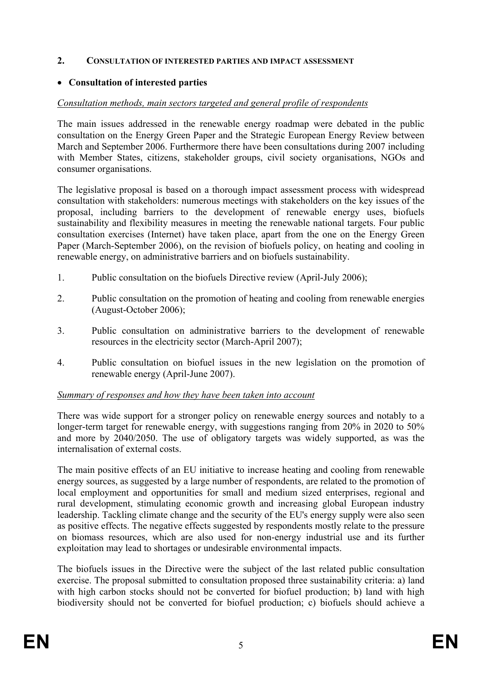#### **2. CONSULTATION OF INTERESTED PARTIES AND IMPACT ASSESSMENT**

#### • **Consultation of interested parties**

### *Consultation methods, main sectors targeted and general profile of respondents*

The main issues addressed in the renewable energy roadmap were debated in the public consultation on the Energy Green Paper and the Strategic European Energy Review between March and September 2006. Furthermore there have been consultations during 2007 including with Member States, citizens, stakeholder groups, civil society organisations, NGOs and consumer organisations.

The legislative proposal is based on a thorough impact assessment process with widespread consultation with stakeholders: numerous meetings with stakeholders on the key issues of the proposal, including barriers to the development of renewable energy uses, biofuels sustainability and flexibility measures in meeting the renewable national targets. Four public consultation exercises (Internet) have taken place, apart from the one on the Energy Green Paper (March-September 2006), on the revision of biofuels policy, on heating and cooling in renewable energy, on administrative barriers and on biofuels sustainability.

- 1. Public consultation on the biofuels Directive review (April-July 2006);
- 2. Public consultation on the promotion of heating and cooling from renewable energies (August-October 2006);
- 3. Public consultation on administrative barriers to the development of renewable resources in the electricity sector (March-April 2007);
- 4. Public consultation on biofuel issues in the new legislation on the promotion of renewable energy (April-June 2007).

#### *Summary of responses and how they have been taken into account*

There was wide support for a stronger policy on renewable energy sources and notably to a longer-term target for renewable energy, with suggestions ranging from 20% in 2020 to 50% and more by 2040/2050. The use of obligatory targets was widely supported, as was the internalisation of external costs.

The main positive effects of an EU initiative to increase heating and cooling from renewable energy sources, as suggested by a large number of respondents, are related to the promotion of local employment and opportunities for small and medium sized enterprises, regional and rural development, stimulating economic growth and increasing global European industry leadership. Tackling climate change and the security of the EU's energy supply were also seen as positive effects. The negative effects suggested by respondents mostly relate to the pressure on biomass resources, which are also used for non-energy industrial use and its further exploitation may lead to shortages or undesirable environmental impacts.

The biofuels issues in the Directive were the subject of the last related public consultation exercise. The proposal submitted to consultation proposed three sustainability criteria: a) land with high carbon stocks should not be converted for biofuel production; b) land with high biodiversity should not be converted for biofuel production; c) biofuels should achieve a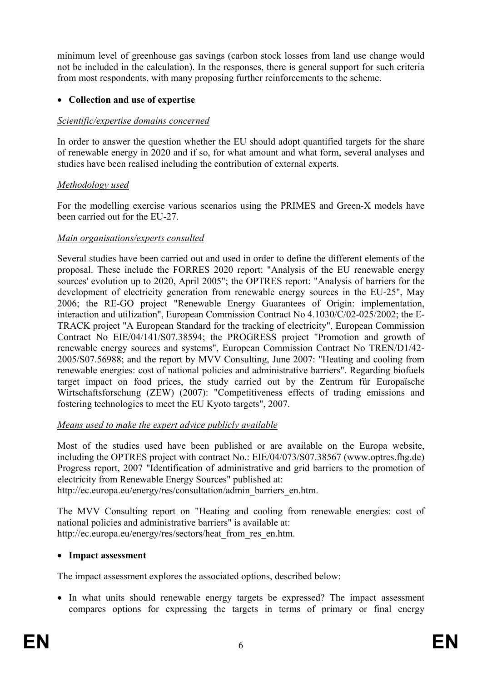minimum level of greenhouse gas savings (carbon stock losses from land use change would not be included in the calculation). In the responses, there is general support for such criteria from most respondents, with many proposing further reinforcements to the scheme.

### • **Collection and use of expertise**

## *Scientific/expertise domains concerned*

In order to answer the question whether the EU should adopt quantified targets for the share of renewable energy in 2020 and if so, for what amount and what form, several analyses and studies have been realised including the contribution of external experts.

## *Methodology used*

For the modelling exercise various scenarios using the PRIMES and Green-X models have been carried out for the EU-27.

### *Main organisations/experts consulted*

Several studies have been carried out and used in order to define the different elements of the proposal. These include the FORRES 2020 report: "Analysis of the EU renewable energy sources' evolution up to 2020, April 2005"; the OPTRES report: "Analysis of barriers for the development of electricity generation from renewable energy sources in the EU-25", May 2006; the RE-GO project "Renewable Energy Guarantees of Origin: implementation, interaction and utilization", European Commission Contract No 4.1030/C/02-025/2002; the E-TRACK project "A European Standard for the tracking of electricity", European Commission Contract No EIE/04/141/S07.38594; the PROGRESS project "Promotion and growth of renewable energy sources and systems", European Commission Contract No TREN/D1/42- 2005/S07.56988; and the report by MVV Consulting, June 2007: "Heating and cooling from renewable energies: cost of national policies and administrative barriers". Regarding biofuels target impact on food prices, the study carried out by the Zentrum für Europaïsche Wirtschaftsforschung (ZEW) (2007): "Competitiveness effects of trading emissions and fostering technologies to meet the EU Kyoto targets", 2007.

## *Means used to make the expert advice publicly available*

Most of the studies used have been published or are available on the Europa website, including the OPTRES project with contract No.: EIE/04/073/S07.38567 (www.optres.fhg.de) Progress report, 2007 "Identification of administrative and grid barriers to the promotion of electricity from Renewable Energy Sources" published at:

http://ec.europa.eu/energy/res/consultation/admin\_barriers\_en.htm.

The MVV Consulting report on "Heating and cooling from renewable energies: cost of national policies and administrative barriers" is available at: http://ec.europa.eu/energy/res/sectors/heat\_from\_res\_en.htm.

### • **Impact assessment**

The impact assessment explores the associated options, described below:

• In what units should renewable energy targets be expressed? The impact assessment compares options for expressing the targets in terms of primary or final energy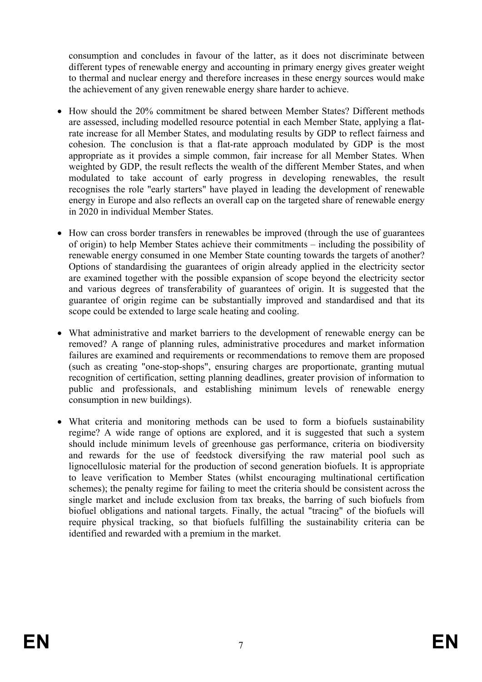consumption and concludes in favour of the latter, as it does not discriminate between different types of renewable energy and accounting in primary energy gives greater weight to thermal and nuclear energy and therefore increases in these energy sources would make the achievement of any given renewable energy share harder to achieve.

- How should the 20% commitment be shared between Member States? Different methods are assessed, including modelled resource potential in each Member State, applying a flatrate increase for all Member States, and modulating results by GDP to reflect fairness and cohesion. The conclusion is that a flat-rate approach modulated by GDP is the most appropriate as it provides a simple common, fair increase for all Member States. When weighted by GDP, the result reflects the wealth of the different Member States, and when modulated to take account of early progress in developing renewables, the result recognises the role "early starters" have played in leading the development of renewable energy in Europe and also reflects an overall cap on the targeted share of renewable energy in 2020 in individual Member States.
- How can cross border transfers in renewables be improved (through the use of guarantees of origin) to help Member States achieve their commitments – including the possibility of renewable energy consumed in one Member State counting towards the targets of another? Options of standardising the guarantees of origin already applied in the electricity sector are examined together with the possible expansion of scope beyond the electricity sector and various degrees of transferability of guarantees of origin. It is suggested that the guarantee of origin regime can be substantially improved and standardised and that its scope could be extended to large scale heating and cooling.
- What administrative and market barriers to the development of renewable energy can be removed? A range of planning rules, administrative procedures and market information failures are examined and requirements or recommendations to remove them are proposed (such as creating "one-stop-shops", ensuring charges are proportionate, granting mutual recognition of certification, setting planning deadlines, greater provision of information to public and professionals, and establishing minimum levels of renewable energy consumption in new buildings).
- What criteria and monitoring methods can be used to form a biofuels sustainability regime? A wide range of options are explored, and it is suggested that such a system should include minimum levels of greenhouse gas performance, criteria on biodiversity and rewards for the use of feedstock diversifying the raw material pool such as lignocellulosic material for the production of second generation biofuels. It is appropriate to leave verification to Member States (whilst encouraging multinational certification schemes); the penalty regime for failing to meet the criteria should be consistent across the single market and include exclusion from tax breaks, the barring of such biofuels from biofuel obligations and national targets. Finally, the actual "tracing" of the biofuels will require physical tracking, so that biofuels fulfilling the sustainability criteria can be identified and rewarded with a premium in the market.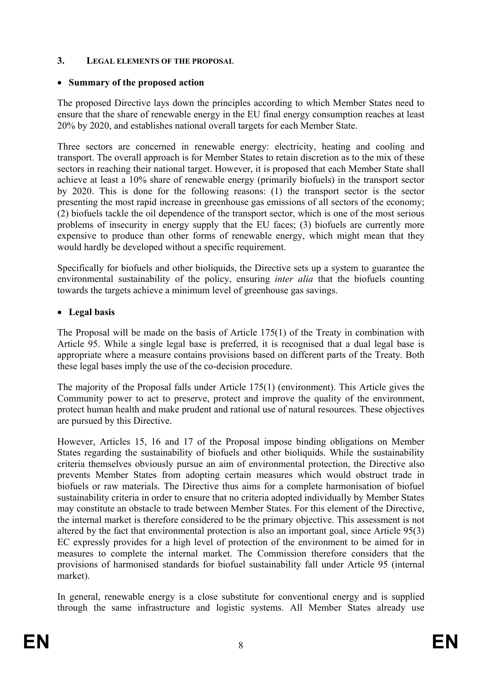#### **3. LEGAL ELEMENTS OF THE PROPOSAL**

## • **Summary of the proposed action**

The proposed Directive lays down the principles according to which Member States need to ensure that the share of renewable energy in the EU final energy consumption reaches at least 20% by 2020, and establishes national overall targets for each Member State.

Three sectors are concerned in renewable energy: electricity, heating and cooling and transport. The overall approach is for Member States to retain discretion as to the mix of these sectors in reaching their national target. However, it is proposed that each Member State shall achieve at least a 10% share of renewable energy (primarily biofuels) in the transport sector by 2020. This is done for the following reasons: (1) the transport sector is the sector presenting the most rapid increase in greenhouse gas emissions of all sectors of the economy; (2) biofuels tackle the oil dependence of the transport sector, which is one of the most serious problems of insecurity in energy supply that the EU faces; (3) biofuels are currently more expensive to produce than other forms of renewable energy, which might mean that they would hardly be developed without a specific requirement.

Specifically for biofuels and other bioliquids, the Directive sets up a system to guarantee the environmental sustainability of the policy, ensuring *inter alia* that the biofuels counting towards the targets achieve a minimum level of greenhouse gas savings.

## • **Legal basis**

The Proposal will be made on the basis of Article 175(1) of the Treaty in combination with Article 95. While a single legal base is preferred, it is recognised that a dual legal base is appropriate where a measure contains provisions based on different parts of the Treaty. Both these legal bases imply the use of the co-decision procedure.

The majority of the Proposal falls under Article 175(1) (environment). This Article gives the Community power to act to preserve, protect and improve the quality of the environment, protect human health and make prudent and rational use of natural resources. These objectives are pursued by this Directive.

However, Articles 15, 16 and 17 of the Proposal impose binding obligations on Member States regarding the sustainability of biofuels and other bioliquids. While the sustainability criteria themselves obviously pursue an aim of environmental protection, the Directive also prevents Member States from adopting certain measures which would obstruct trade in biofuels or raw materials. The Directive thus aims for a complete harmonisation of biofuel sustainability criteria in order to ensure that no criteria adopted individually by Member States may constitute an obstacle to trade between Member States. For this element of the Directive, the internal market is therefore considered to be the primary objective. This assessment is not altered by the fact that environmental protection is also an important goal, since Article 95(3) EC expressly provides for a high level of protection of the environment to be aimed for in measures to complete the internal market. The Commission therefore considers that the provisions of harmonised standards for biofuel sustainability fall under Article 95 (internal market).

In general, renewable energy is a close substitute for conventional energy and is supplied through the same infrastructure and logistic systems. All Member States already use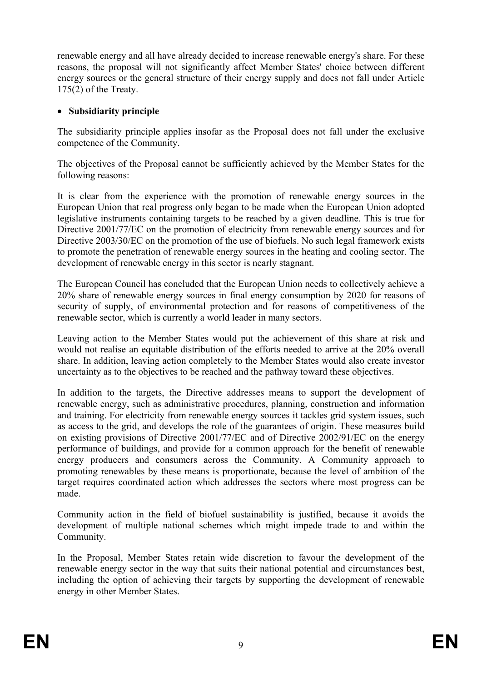renewable energy and all have already decided to increase renewable energy's share. For these reasons, the proposal will not significantly affect Member States' choice between different energy sources or the general structure of their energy supply and does not fall under Article 175(2) of the Treaty.

## • **Subsidiarity principle**

The subsidiarity principle applies insofar as the Proposal does not fall under the exclusive competence of the Community.

The objectives of the Proposal cannot be sufficiently achieved by the Member States for the following reasons:

It is clear from the experience with the promotion of renewable energy sources in the European Union that real progress only began to be made when the European Union adopted legislative instruments containing targets to be reached by a given deadline. This is true for Directive 2001/77/EC on the promotion of electricity from renewable energy sources and for Directive 2003/30/EC on the promotion of the use of biofuels. No such legal framework exists to promote the penetration of renewable energy sources in the heating and cooling sector. The development of renewable energy in this sector is nearly stagnant.

The European Council has concluded that the European Union needs to collectively achieve a 20% share of renewable energy sources in final energy consumption by 2020 for reasons of security of supply, of environmental protection and for reasons of competitiveness of the renewable sector, which is currently a world leader in many sectors.

Leaving action to the Member States would put the achievement of this share at risk and would not realise an equitable distribution of the efforts needed to arrive at the 20% overall share. In addition, leaving action completely to the Member States would also create investor uncertainty as to the objectives to be reached and the pathway toward these objectives.

In addition to the targets, the Directive addresses means to support the development of renewable energy, such as administrative procedures, planning, construction and information and training. For electricity from renewable energy sources it tackles grid system issues, such as access to the grid, and develops the role of the guarantees of origin. These measures build on existing provisions of Directive 2001/77/EC and of Directive 2002/91/EC on the energy performance of buildings, and provide for a common approach for the benefit of renewable energy producers and consumers across the Community. A Community approach to promoting renewables by these means is proportionate, because the level of ambition of the target requires coordinated action which addresses the sectors where most progress can be made.

Community action in the field of biofuel sustainability is justified, because it avoids the development of multiple national schemes which might impede trade to and within the Community.

In the Proposal, Member States retain wide discretion to favour the development of the renewable energy sector in the way that suits their national potential and circumstances best, including the option of achieving their targets by supporting the development of renewable energy in other Member States.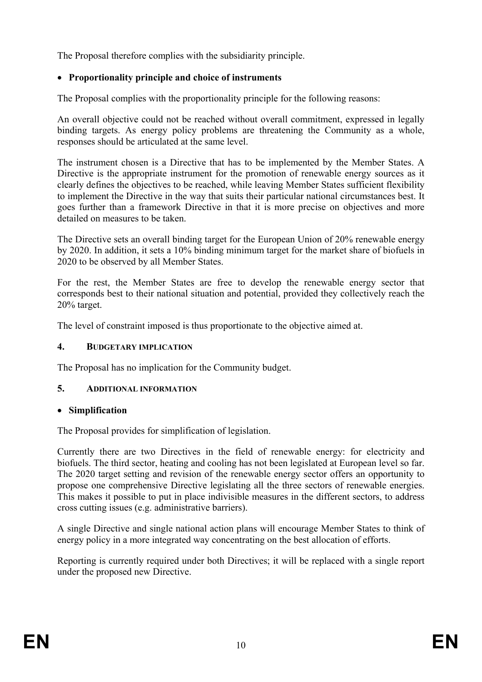The Proposal therefore complies with the subsidiarity principle.

## • **Proportionality principle and choice of instruments**

The Proposal complies with the proportionality principle for the following reasons:

An overall objective could not be reached without overall commitment, expressed in legally binding targets. As energy policy problems are threatening the Community as a whole, responses should be articulated at the same level.

The instrument chosen is a Directive that has to be implemented by the Member States. A Directive is the appropriate instrument for the promotion of renewable energy sources as it clearly defines the objectives to be reached, while leaving Member States sufficient flexibility to implement the Directive in the way that suits their particular national circumstances best. It goes further than a framework Directive in that it is more precise on objectives and more detailed on measures to be taken.

The Directive sets an overall binding target for the European Union of 20% renewable energy by 2020. In addition, it sets a 10% binding minimum target for the market share of biofuels in 2020 to be observed by all Member States.

For the rest, the Member States are free to develop the renewable energy sector that corresponds best to their national situation and potential, provided they collectively reach the 20% target.

The level of constraint imposed is thus proportionate to the objective aimed at.

## **4. BUDGETARY IMPLICATION**

The Proposal has no implication for the Community budget.

## **5. ADDITIONAL INFORMATION**

## • **Simplification**

The Proposal provides for simplification of legislation.

Currently there are two Directives in the field of renewable energy: for electricity and biofuels. The third sector, heating and cooling has not been legislated at European level so far. The 2020 target setting and revision of the renewable energy sector offers an opportunity to propose one comprehensive Directive legislating all the three sectors of renewable energies. This makes it possible to put in place indivisible measures in the different sectors, to address cross cutting issues (e.g. administrative barriers).

A single Directive and single national action plans will encourage Member States to think of energy policy in a more integrated way concentrating on the best allocation of efforts.

Reporting is currently required under both Directives; it will be replaced with a single report under the proposed new Directive.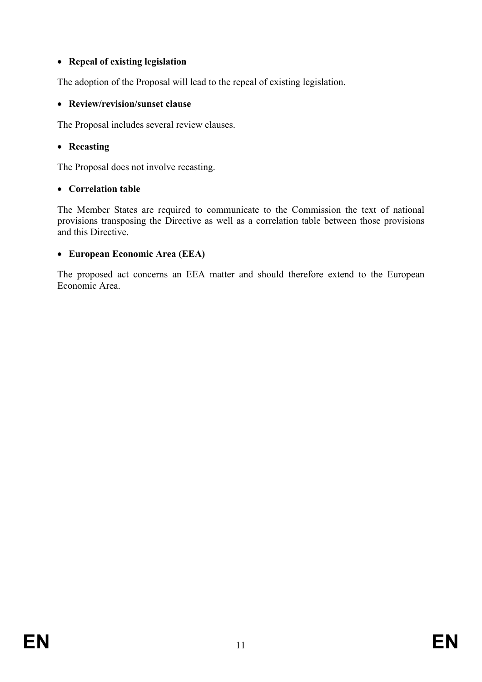## • **Repeal of existing legislation**

The adoption of the Proposal will lead to the repeal of existing legislation.

### • **Review/revision/sunset clause**

The Proposal includes several review clauses.

## • **Recasting**

The Proposal does not involve recasting.

## • **Correlation table**

The Member States are required to communicate to the Commission the text of national provisions transposing the Directive as well as a correlation table between those provisions and this Directive.

## • **European Economic Area (EEA)**

The proposed act concerns an EEA matter and should therefore extend to the European Economic Area.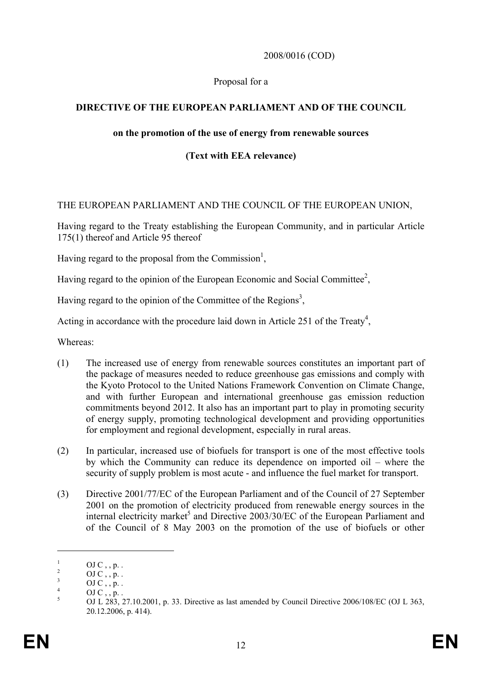#### 2008/0016 (COD)

#### Proposal for a

## **DIRECTIVE OF THE EUROPEAN PARLIAMENT AND OF THE COUNCIL**

#### **on the promotion of the use of energy from renewable sources**

## **(Text with EEA relevance)**

#### THE EUROPEAN PARLIAMENT AND THE COUNCIL OF THE EUROPEAN UNION,

Having regard to the Treaty establishing the European Community, and in particular Article 175(1) thereof and Article 95 thereof

Having regard to the proposal from the Commission<sup>1</sup>,

Having regard to the opinion of the European Economic and Social Committee<sup>2</sup>,

Having regard to the opinion of the Committee of the Regions<sup>3</sup>,

Acting in accordance with the procedure laid down in Article 251 of the Treaty<sup>4</sup>,

Whereas:

- (1) The increased use of energy from renewable sources constitutes an important part of the package of measures needed to reduce greenhouse gas emissions and comply with the Kyoto Protocol to the United Nations Framework Convention on Climate Change, and with further European and international greenhouse gas emission reduction commitments beyond 2012. It also has an important part to play in promoting security of energy supply, promoting technological development and providing opportunities for employment and regional development, especially in rural areas.
- (2) In particular, increased use of biofuels for transport is one of the most effective tools by which the Community can reduce its dependence on imported oil – where the security of supply problem is most acute - and influence the fuel market for transport.
- (3) Directive 2001/77/EC of the European Parliament and of the Council of 27 September 2001 on the promotion of electricity produced from renewable energy sources in the internal electricity market<sup>5</sup> and Directive 2003/30/EC of the European Parliament and of the Council of 8 May 2003 on the promotion of the use of biofuels or other

<u>.</u>

<sup>1</sup> OJ  $C$ , ,  $p$ .

<sup>2</sup>  $\mathrm{OJ\,C}$  , , p. .

<sup>3</sup> OJ C , , p. . 4

OJ  $C_1$ , p. .

<sup>5</sup> OJ L 283, 27.10.2001, p. 33. Directive as last amended by Council Directive 2006/108/EC (OJ L 363, 20.12.2006, p. 414).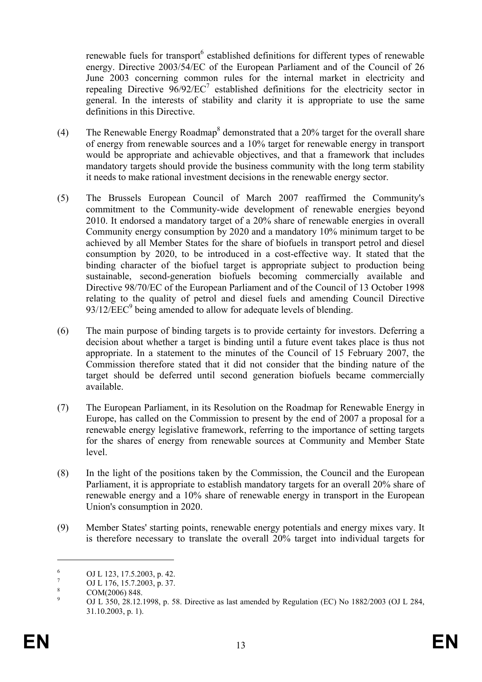renewable fuels for transport<sup>6</sup> established definitions for different types of renewable energy. Directive 2003/54/EC of the European Parliament and of the Council of 26 June 2003 concerning common rules for the internal market in electricity and repealing Directive  $96/92/EC^7$  established definitions for the electricity sector in general. In the interests of stability and clarity it is appropriate to use the same definitions in this Directive.

- (4) The Renewable Energy Roadmap<sup>8</sup> demonstrated that a 20% target for the overall share of energy from renewable sources and a 10% target for renewable energy in transport would be appropriate and achievable objectives, and that a framework that includes mandatory targets should provide the business community with the long term stability it needs to make rational investment decisions in the renewable energy sector.
- (5) The Brussels European Council of March 2007 reaffirmed the Community's commitment to the Community-wide development of renewable energies beyond 2010. It endorsed a mandatory target of a 20% share of renewable energies in overall Community energy consumption by 2020 and a mandatory 10% minimum target to be achieved by all Member States for the share of biofuels in transport petrol and diesel consumption by 2020, to be introduced in a cost-effective way. It stated that the binding character of the biofuel target is appropriate subject to production being sustainable, second-generation biofuels becoming commercially available and Directive 98/70/EC of the European Parliament and of the Council of 13 October 1998 relating to the quality of petrol and diesel fuels and amending Council Directive 93/12/EEC<sup>9</sup> being amended to allow for adequate levels of blending.
- (6) The main purpose of binding targets is to provide certainty for investors. Deferring a decision about whether a target is binding until a future event takes place is thus not appropriate. In a statement to the minutes of the Council of 15 February 2007, the Commission therefore stated that it did not consider that the binding nature of the target should be deferred until second generation biofuels became commercially available.
- (7) The European Parliament, in its Resolution on the Roadmap for Renewable Energy in Europe, has called on the Commission to present by the end of 2007 a proposal for a renewable energy legislative framework, referring to the importance of setting targets for the shares of energy from renewable sources at Community and Member State level.
- (8) In the light of the positions taken by the Commission, the Council and the European Parliament, it is appropriate to establish mandatory targets for an overall 20% share of renewable energy and a 10% share of renewable energy in transport in the European Union's consumption in 2020.
- (9) Member States' starting points, renewable energy potentials and energy mixes vary. It is therefore necessary to translate the overall 20% target into individual targets for

1

<sup>6</sup> OJ L 123, 17.5.2003, p. 42.

<sup>7</sup> OJ L 176, 15.7.2003, p. 37. 8

COM(2006) 848.

<sup>9</sup> OJ L 350, 28.12.1998, p. 58. Directive as last amended by Regulation (EC) No 1882/2003 (OJ L 284, 31.10.2003, p. 1).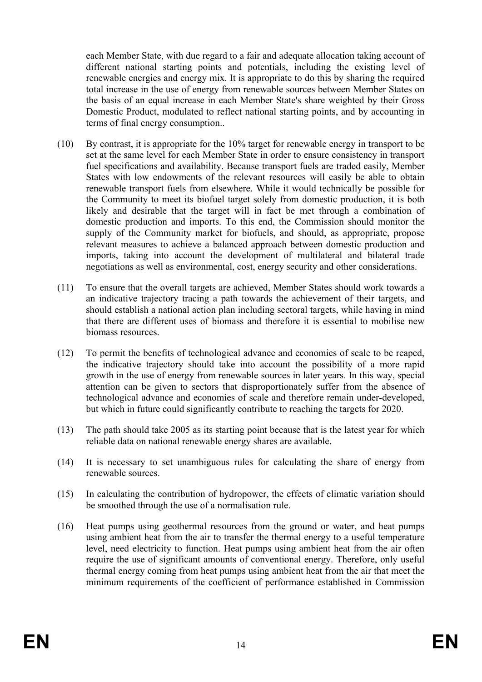each Member State, with due regard to a fair and adequate allocation taking account of different national starting points and potentials, including the existing level of renewable energies and energy mix. It is appropriate to do this by sharing the required total increase in the use of energy from renewable sources between Member States on the basis of an equal increase in each Member State's share weighted by their Gross Domestic Product, modulated to reflect national starting points, and by accounting in terms of final energy consumption..

- (10) By contrast, it is appropriate for the 10% target for renewable energy in transport to be set at the same level for each Member State in order to ensure consistency in transport fuel specifications and availability. Because transport fuels are traded easily, Member States with low endowments of the relevant resources will easily be able to obtain renewable transport fuels from elsewhere. While it would technically be possible for the Community to meet its biofuel target solely from domestic production, it is both likely and desirable that the target will in fact be met through a combination of domestic production and imports. To this end, the Commission should monitor the supply of the Community market for biofuels, and should, as appropriate, propose relevant measures to achieve a balanced approach between domestic production and imports, taking into account the development of multilateral and bilateral trade negotiations as well as environmental, cost, energy security and other considerations.
- (11) To ensure that the overall targets are achieved, Member States should work towards a an indicative trajectory tracing a path towards the achievement of their targets, and should establish a national action plan including sectoral targets, while having in mind that there are different uses of biomass and therefore it is essential to mobilise new biomass resources.
- (12) To permit the benefits of technological advance and economies of scale to be reaped, the indicative trajectory should take into account the possibility of a more rapid growth in the use of energy from renewable sources in later years. In this way, special attention can be given to sectors that disproportionately suffer from the absence of technological advance and economies of scale and therefore remain under-developed, but which in future could significantly contribute to reaching the targets for 2020.
- (13) The path should take 2005 as its starting point because that is the latest year for which reliable data on national renewable energy shares are available.
- (14) It is necessary to set unambiguous rules for calculating the share of energy from renewable sources.
- (15) In calculating the contribution of hydropower, the effects of climatic variation should be smoothed through the use of a normalisation rule.
- (16) Heat pumps using geothermal resources from the ground or water, and heat pumps using ambient heat from the air to transfer the thermal energy to a useful temperature level, need electricity to function. Heat pumps using ambient heat from the air often require the use of significant amounts of conventional energy. Therefore, only useful thermal energy coming from heat pumps using ambient heat from the air that meet the minimum requirements of the coefficient of performance established in Commission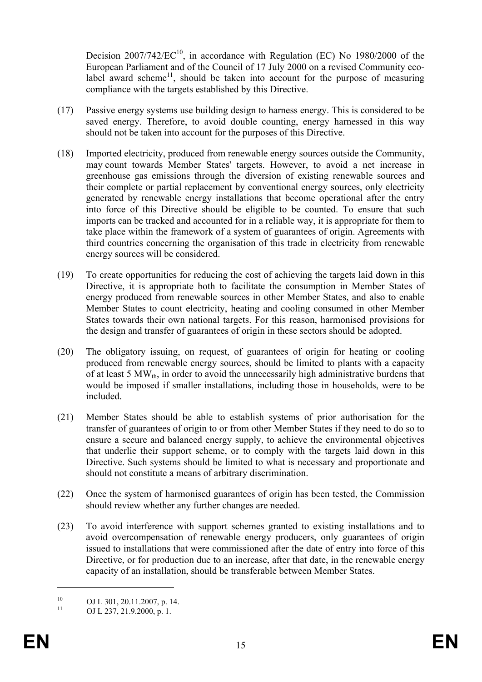Decision  $2007/742/EC^{10}$ , in accordance with Regulation (EC) No 1980/2000 of the European Parliament and of the Council of 17 July 2000 on a revised Community ecolabel award scheme<sup>11</sup>, should be taken into account for the purpose of measuring compliance with the targets established by this Directive.

- (17) Passive energy systems use building design to harness energy. This is considered to be saved energy. Therefore, to avoid double counting, energy harnessed in this way should not be taken into account for the purposes of this Directive.
- (18) Imported electricity, produced from renewable energy sources outside the Community, may count towards Member States' targets. However, to avoid a net increase in greenhouse gas emissions through the diversion of existing renewable sources and their complete or partial replacement by conventional energy sources, only electricity generated by renewable energy installations that become operational after the entry into force of this Directive should be eligible to be counted. To ensure that such imports can be tracked and accounted for in a reliable way, it is appropriate for them to take place within the framework of a system of guarantees of origin. Agreements with third countries concerning the organisation of this trade in electricity from renewable energy sources will be considered.
- (19) To create opportunities for reducing the cost of achieving the targets laid down in this Directive, it is appropriate both to facilitate the consumption in Member States of energy produced from renewable sources in other Member States, and also to enable Member States to count electricity, heating and cooling consumed in other Member States towards their own national targets. For this reason, harmonised provisions for the design and transfer of guarantees of origin in these sectors should be adopted.
- (20) The obligatory issuing, on request, of guarantees of origin for heating or cooling produced from renewable energy sources, should be limited to plants with a capacity of at least 5  $MW<sub>th</sub>$ , in order to avoid the unnecessarily high administrative burdens that would be imposed if smaller installations, including those in households, were to be included.
- (21) Member States should be able to establish systems of prior authorisation for the transfer of guarantees of origin to or from other Member States if they need to do so to ensure a secure and balanced energy supply, to achieve the environmental objectives that underlie their support scheme, or to comply with the targets laid down in this Directive. Such systems should be limited to what is necessary and proportionate and should not constitute a means of arbitrary discrimination.
- (22) Once the system of harmonised guarantees of origin has been tested, the Commission should review whether any further changes are needed.
- (23) To avoid interference with support schemes granted to existing installations and to avoid overcompensation of renewable energy producers, only guarantees of origin issued to installations that were commissioned after the date of entry into force of this Directive, or for production due to an increase, after that date, in the renewable energy capacity of an installation, should be transferable between Member States.

1

<sup>&</sup>lt;sup>10</sup> OJ L 301, 20.11.2007, p. 14.

OJ L 237, 21.9.2000, p. 1.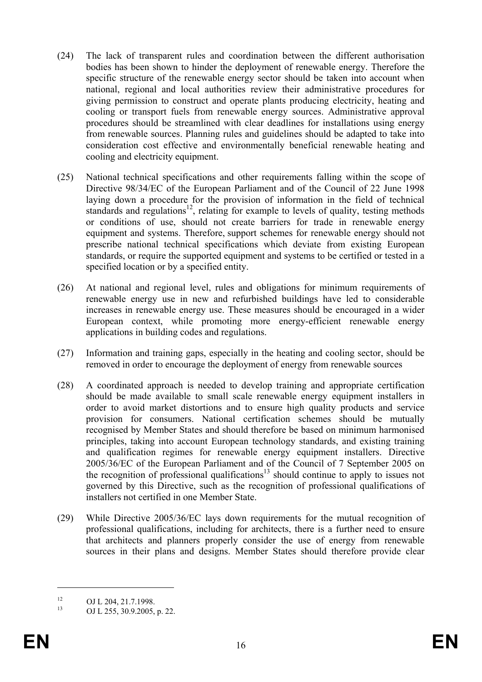- (24) The lack of transparent rules and coordination between the different authorisation bodies has been shown to hinder the deployment of renewable energy. Therefore the specific structure of the renewable energy sector should be taken into account when national, regional and local authorities review their administrative procedures for giving permission to construct and operate plants producing electricity, heating and cooling or transport fuels from renewable energy sources. Administrative approval procedures should be streamlined with clear deadlines for installations using energy from renewable sources. Planning rules and guidelines should be adapted to take into consideration cost effective and environmentally beneficial renewable heating and cooling and electricity equipment.
- (25) National technical specifications and other requirements falling within the scope of Directive 98/34/EC of the European Parliament and of the Council of 22 June 1998 laying down a procedure for the provision of information in the field of technical standards and regulations<sup>12</sup>, relating for example to levels of quality, testing methods or conditions of use, should not create barriers for trade in renewable energy equipment and systems. Therefore, support schemes for renewable energy should not prescribe national technical specifications which deviate from existing European standards, or require the supported equipment and systems to be certified or tested in a specified location or by a specified entity.
- (26) At national and regional level, rules and obligations for minimum requirements of renewable energy use in new and refurbished buildings have led to considerable increases in renewable energy use. These measures should be encouraged in a wider European context, while promoting more energy-efficient renewable energy applications in building codes and regulations.
- (27) Information and training gaps, especially in the heating and cooling sector, should be removed in order to encourage the deployment of energy from renewable sources
- (28) A coordinated approach is needed to develop training and appropriate certification should be made available to small scale renewable energy equipment installers in order to avoid market distortions and to ensure high quality products and service provision for consumers. National certification schemes should be mutually recognised by Member States and should therefore be based on minimum harmonised principles, taking into account European technology standards, and existing training and qualification regimes for renewable energy equipment installers. Directive 2005/36/EC of the European Parliament and of the Council of 7 September 2005 on the recognition of professional qualifications<sup>13</sup> should continue to apply to issues not governed by this Directive, such as the recognition of professional qualifications of installers not certified in one Member State.
- (29) While Directive 2005/36/EC lays down requirements for the mutual recognition of professional qualifications, including for architects, there is a further need to ensure that architects and planners properly consider the use of energy from renewable sources in their plans and designs. Member States should therefore provide clear

1

 $^{12}$  OJ L 204, 21.7.1998.

<sup>13</sup> OJ L 255, 30.9.2005, p. 22.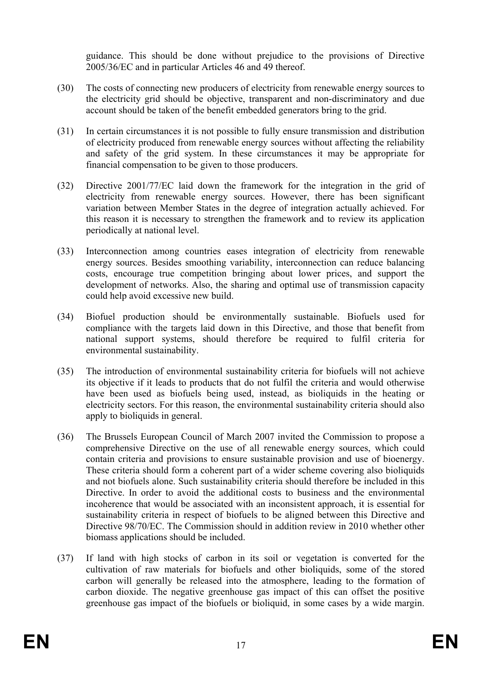guidance. This should be done without prejudice to the provisions of Directive 2005/36/EC and in particular Articles 46 and 49 thereof.

- (30) The costs of connecting new producers of electricity from renewable energy sources to the electricity grid should be objective, transparent and non-discriminatory and due account should be taken of the benefit embedded generators bring to the grid.
- (31) In certain circumstances it is not possible to fully ensure transmission and distribution of electricity produced from renewable energy sources without affecting the reliability and safety of the grid system. In these circumstances it may be appropriate for financial compensation to be given to those producers.
- (32) Directive 2001/77/EC laid down the framework for the integration in the grid of electricity from renewable energy sources. However, there has been significant variation between Member States in the degree of integration actually achieved. For this reason it is necessary to strengthen the framework and to review its application periodically at national level.
- (33) Interconnection among countries eases integration of electricity from renewable energy sources. Besides smoothing variability, interconnection can reduce balancing costs, encourage true competition bringing about lower prices, and support the development of networks. Also, the sharing and optimal use of transmission capacity could help avoid excessive new build.
- (34) Biofuel production should be environmentally sustainable. Biofuels used for compliance with the targets laid down in this Directive, and those that benefit from national support systems, should therefore be required to fulfil criteria for environmental sustainability.
- (35) The introduction of environmental sustainability criteria for biofuels will not achieve its objective if it leads to products that do not fulfil the criteria and would otherwise have been used as biofuels being used, instead, as bioliquids in the heating or electricity sectors. For this reason, the environmental sustainability criteria should also apply to bioliquids in general.
- (36) The Brussels European Council of March 2007 invited the Commission to propose a comprehensive Directive on the use of all renewable energy sources, which could contain criteria and provisions to ensure sustainable provision and use of bioenergy. These criteria should form a coherent part of a wider scheme covering also bioliquids and not biofuels alone. Such sustainability criteria should therefore be included in this Directive. In order to avoid the additional costs to business and the environmental incoherence that would be associated with an inconsistent approach, it is essential for sustainability criteria in respect of biofuels to be aligned between this Directive and Directive 98/70/EC. The Commission should in addition review in 2010 whether other biomass applications should be included.
- (37) If land with high stocks of carbon in its soil or vegetation is converted for the cultivation of raw materials for biofuels and other bioliquids, some of the stored carbon will generally be released into the atmosphere, leading to the formation of carbon dioxide. The negative greenhouse gas impact of this can offset the positive greenhouse gas impact of the biofuels or bioliquid, in some cases by a wide margin.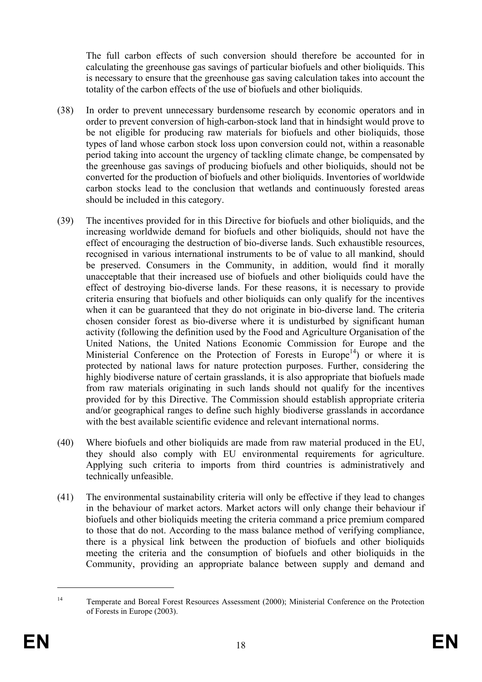The full carbon effects of such conversion should therefore be accounted for in calculating the greenhouse gas savings of particular biofuels and other bioliquids. This is necessary to ensure that the greenhouse gas saving calculation takes into account the totality of the carbon effects of the use of biofuels and other bioliquids.

- (38) In order to prevent unnecessary burdensome research by economic operators and in order to prevent conversion of high-carbon-stock land that in hindsight would prove to be not eligible for producing raw materials for biofuels and other bioliquids, those types of land whose carbon stock loss upon conversion could not, within a reasonable period taking into account the urgency of tackling climate change, be compensated by the greenhouse gas savings of producing biofuels and other bioliquids, should not be converted for the production of biofuels and other bioliquids. Inventories of worldwide carbon stocks lead to the conclusion that wetlands and continuously forested areas should be included in this category.
- (39) The incentives provided for in this Directive for biofuels and other bioliquids, and the increasing worldwide demand for biofuels and other bioliquids, should not have the effect of encouraging the destruction of bio-diverse lands. Such exhaustible resources, recognised in various international instruments to be of value to all mankind, should be preserved. Consumers in the Community, in addition, would find it morally unacceptable that their increased use of biofuels and other bioliquids could have the effect of destroying bio-diverse lands. For these reasons, it is necessary to provide criteria ensuring that biofuels and other bioliquids can only qualify for the incentives when it can be guaranteed that they do not originate in bio-diverse land. The criteria chosen consider forest as bio-diverse where it is undisturbed by significant human activity (following the definition used by the Food and Agriculture Organisation of the United Nations, the United Nations Economic Commission for Europe and the Ministerial Conference on the Protection of Forests in Europe<sup>14</sup>) or where it is protected by national laws for nature protection purposes. Further, considering the highly biodiverse nature of certain grasslands, it is also appropriate that biofuels made from raw materials originating in such lands should not qualify for the incentives provided for by this Directive. The Commission should establish appropriate criteria and/or geographical ranges to define such highly biodiverse grasslands in accordance with the best available scientific evidence and relevant international norms.
- (40) Where biofuels and other bioliquids are made from raw material produced in the EU, they should also comply with EU environmental requirements for agriculture. Applying such criteria to imports from third countries is administratively and technically unfeasible.
- (41) The environmental sustainability criteria will only be effective if they lead to changes in the behaviour of market actors. Market actors will only change their behaviour if biofuels and other bioliquids meeting the criteria command a price premium compared to those that do not. According to the mass balance method of verifying compliance, there is a physical link between the production of biofuels and other bioliquids meeting the criteria and the consumption of biofuels and other bioliquids in the Community, providing an appropriate balance between supply and demand and

1

<sup>&</sup>lt;sup>14</sup> Temperate and Boreal Forest Resources Assessment (2000); Ministerial Conference on the Protection of Forests in Europe (2003).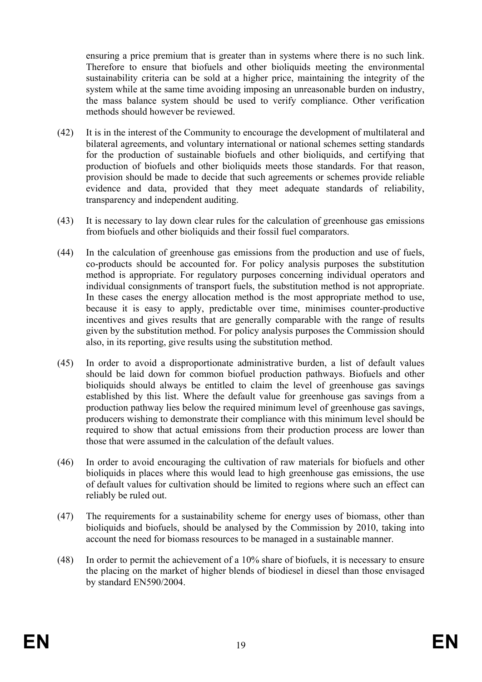ensuring a price premium that is greater than in systems where there is no such link. Therefore to ensure that biofuels and other bioliquids meeting the environmental sustainability criteria can be sold at a higher price, maintaining the integrity of the system while at the same time avoiding imposing an unreasonable burden on industry, the mass balance system should be used to verify compliance. Other verification methods should however be reviewed.

- (42) It is in the interest of the Community to encourage the development of multilateral and bilateral agreements, and voluntary international or national schemes setting standards for the production of sustainable biofuels and other bioliquids, and certifying that production of biofuels and other bioliquids meets those standards. For that reason, provision should be made to decide that such agreements or schemes provide reliable evidence and data, provided that they meet adequate standards of reliability, transparency and independent auditing.
- (43) It is necessary to lay down clear rules for the calculation of greenhouse gas emissions from biofuels and other bioliquids and their fossil fuel comparators.
- (44) In the calculation of greenhouse gas emissions from the production and use of fuels, co-products should be accounted for. For policy analysis purposes the substitution method is appropriate. For regulatory purposes concerning individual operators and individual consignments of transport fuels, the substitution method is not appropriate. In these cases the energy allocation method is the most appropriate method to use, because it is easy to apply, predictable over time, minimises counter-productive incentives and gives results that are generally comparable with the range of results given by the substitution method. For policy analysis purposes the Commission should also, in its reporting, give results using the substitution method.
- (45) In order to avoid a disproportionate administrative burden, a list of default values should be laid down for common biofuel production pathways. Biofuels and other bioliquids should always be entitled to claim the level of greenhouse gas savings established by this list. Where the default value for greenhouse gas savings from a production pathway lies below the required minimum level of greenhouse gas savings, producers wishing to demonstrate their compliance with this minimum level should be required to show that actual emissions from their production process are lower than those that were assumed in the calculation of the default values.
- (46) In order to avoid encouraging the cultivation of raw materials for biofuels and other bioliquids in places where this would lead to high greenhouse gas emissions, the use of default values for cultivation should be limited to regions where such an effect can reliably be ruled out.
- (47) The requirements for a sustainability scheme for energy uses of biomass, other than bioliquids and biofuels, should be analysed by the Commission by 2010, taking into account the need for biomass resources to be managed in a sustainable manner.
- (48) In order to permit the achievement of a 10% share of biofuels, it is necessary to ensure the placing on the market of higher blends of biodiesel in diesel than those envisaged by standard EN590/2004.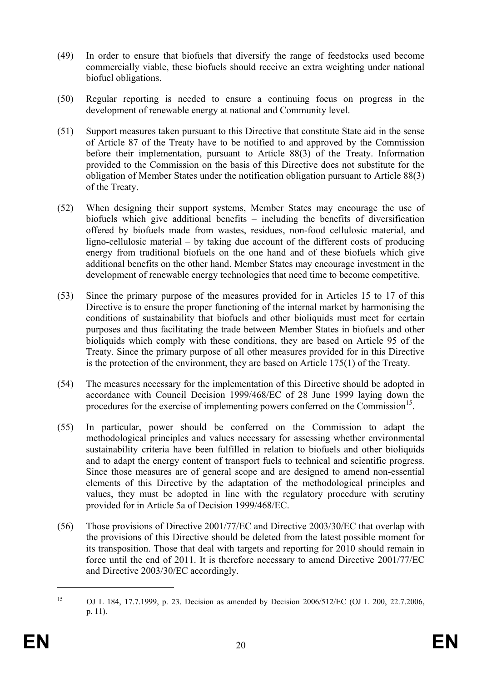- (49) In order to ensure that biofuels that diversify the range of feedstocks used become commercially viable, these biofuels should receive an extra weighting under national biofuel obligations.
- (50) Regular reporting is needed to ensure a continuing focus on progress in the development of renewable energy at national and Community level.
- (51) Support measures taken pursuant to this Directive that constitute State aid in the sense of Article 87 of the Treaty have to be notified to and approved by the Commission before their implementation, pursuant to Article 88(3) of the Treaty. Information provided to the Commission on the basis of this Directive does not substitute for the obligation of Member States under the notification obligation pursuant to Article 88(3) of the Treaty.
- (52) When designing their support systems, Member States may encourage the use of biofuels which give additional benefits – including the benefits of diversification offered by biofuels made from wastes, residues, non-food cellulosic material, and ligno-cellulosic material – by taking due account of the different costs of producing energy from traditional biofuels on the one hand and of these biofuels which give additional benefits on the other hand. Member States may encourage investment in the development of renewable energy technologies that need time to become competitive.
- (53) Since the primary purpose of the measures provided for in Articles 15 to 17 of this Directive is to ensure the proper functioning of the internal market by harmonising the conditions of sustainability that biofuels and other bioliquids must meet for certain purposes and thus facilitating the trade between Member States in biofuels and other bioliquids which comply with these conditions, they are based on Article 95 of the Treaty. Since the primary purpose of all other measures provided for in this Directive is the protection of the environment, they are based on Article 175(1) of the Treaty.
- (54) The measures necessary for the implementation of this Directive should be adopted in accordance with Council Decision 1999/468/EC of 28 June 1999 laying down the procedures for the exercise of implementing powers conferred on the Commission<sup>15</sup>.
- (55) In particular, power should be conferred on the Commission to adapt the methodological principles and values necessary for assessing whether environmental sustainability criteria have been fulfilled in relation to biofuels and other bioliquids and to adapt the energy content of transport fuels to technical and scientific progress. Since those measures are of general scope and are designed to amend non-essential elements of this Directive by the adaptation of the methodological principles and values, they must be adopted in line with the regulatory procedure with scrutiny provided for in Article 5a of Decision 1999/468/EC.
- (56) Those provisions of Directive 2001/77/EC and Directive 2003/30/EC that overlap with the provisions of this Directive should be deleted from the latest possible moment for its transposition. Those that deal with targets and reporting for 2010 should remain in force until the end of 2011. It is therefore necessary to amend Directive 2001/77/EC and Directive 2003/30/EC accordingly.

1

<sup>15</sup> OJ L 184, 17.7.1999, p. 23. Decision as amended by Decision 2006/512/EC (OJ L 200, 22.7.2006, p. 11).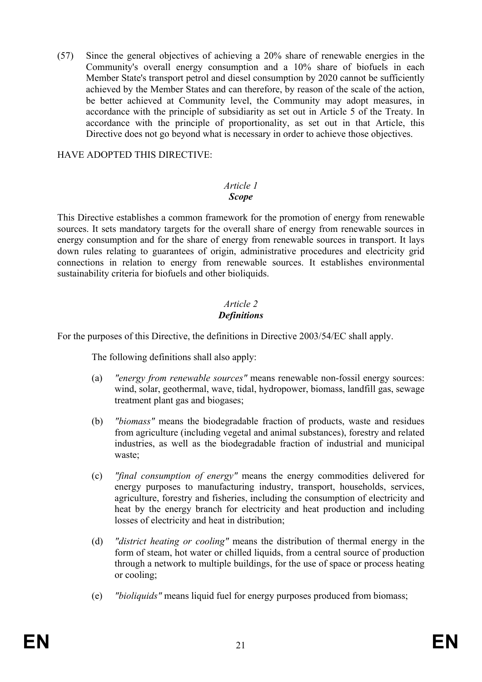(57) Since the general objectives of achieving a 20% share of renewable energies in the Community's overall energy consumption and a 10% share of biofuels in each Member State's transport petrol and diesel consumption by 2020 cannot be sufficiently achieved by the Member States and can therefore, by reason of the scale of the action, be better achieved at Community level, the Community may adopt measures, in accordance with the principle of subsidiarity as set out in Article 5 of the Treaty. In accordance with the principle of proportionality, as set out in that Article, this Directive does not go beyond what is necessary in order to achieve those objectives.

## HAVE ADOPTED THIS DIRECTIVE:

#### *Article 1 Scope*

This Directive establishes a common framework for the promotion of energy from renewable sources. It sets mandatory targets for the overall share of energy from renewable sources in energy consumption and for the share of energy from renewable sources in transport. It lays down rules relating to guarantees of origin, administrative procedures and electricity grid connections in relation to energy from renewable sources. It establishes environmental sustainability criteria for biofuels and other bioliquids.

## *Article 2 Definitions*

For the purposes of this Directive, the definitions in Directive 2003/54/EC shall apply.

The following definitions shall also apply:

- (a) *"energy from renewable sources"* means renewable non-fossil energy sources: wind, solar, geothermal, wave, tidal, hydropower, biomass, landfill gas, sewage treatment plant gas and biogases;
- (b) *"biomass"* means the biodegradable fraction of products, waste and residues from agriculture (including vegetal and animal substances), forestry and related industries, as well as the biodegradable fraction of industrial and municipal waste;
- (c) *"final consumption of energy"* means the energy commodities delivered for energy purposes to manufacturing industry, transport, households, services, agriculture, forestry and fisheries, including the consumption of electricity and heat by the energy branch for electricity and heat production and including losses of electricity and heat in distribution;
- (d) *"district heating or cooling"* means the distribution of thermal energy in the form of steam, hot water or chilled liquids, from a central source of production through a network to multiple buildings, for the use of space or process heating or cooling;
- (e) *"bioliquids"* means liquid fuel for energy purposes produced from biomass;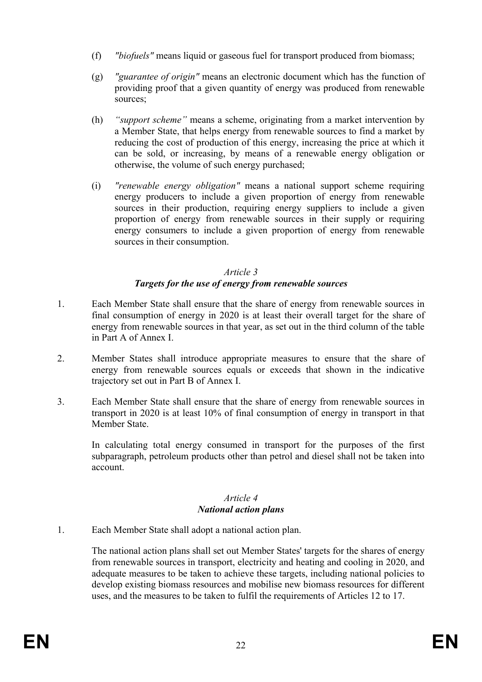- (f) *"biofuels"* means liquid or gaseous fuel for transport produced from biomass;
- (g) *"guarantee of origin"* means an electronic document which has the function of providing proof that a given quantity of energy was produced from renewable sources;
- (h) *"support scheme"* means a scheme, originating from a market intervention by a Member State, that helps energy from renewable sources to find a market by reducing the cost of production of this energy, increasing the price at which it can be sold, or increasing, by means of a renewable energy obligation or otherwise, the volume of such energy purchased;
- (i) *"renewable energy obligation"* means a national support scheme requiring energy producers to include a given proportion of energy from renewable sources in their production, requiring energy suppliers to include a given proportion of energy from renewable sources in their supply or requiring energy consumers to include a given proportion of energy from renewable sources in their consumption.

## *Article 3 Targets for the use of energy from renewable sources*

- 1. Each Member State shall ensure that the share of energy from renewable sources in final consumption of energy in 2020 is at least their overall target for the share of energy from renewable sources in that year, as set out in the third column of the table in Part A of Annex I.
- 2. Member States shall introduce appropriate measures to ensure that the share of energy from renewable sources equals or exceeds that shown in the indicative trajectory set out in Part B of Annex I.
- 3. Each Member State shall ensure that the share of energy from renewable sources in transport in 2020 is at least 10% of final consumption of energy in transport in that Member State.

 In calculating total energy consumed in transport for the purposes of the first subparagraph, petroleum products other than petrol and diesel shall not be taken into account.

### *Article 4 National action plans*

1. Each Member State shall adopt a national action plan.

 The national action plans shall set out Member States' targets for the shares of energy from renewable sources in transport, electricity and heating and cooling in 2020, and adequate measures to be taken to achieve these targets, including national policies to develop existing biomass resources and mobilise new biomass resources for different uses, and the measures to be taken to fulfil the requirements of Articles 12 to 17.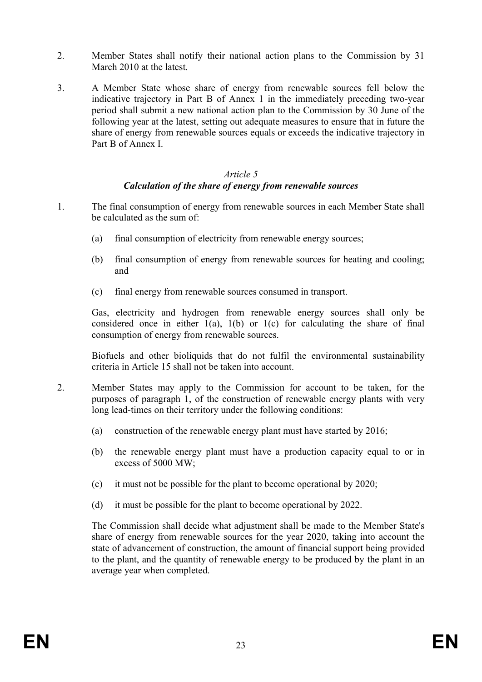- 2. Member States shall notify their national action plans to the Commission by 31 March 2010 at the latest.
- 3. A Member State whose share of energy from renewable sources fell below the indicative trajectory in Part B of Annex 1 in the immediately preceding two-year period shall submit a new national action plan to the Commission by 30 June of the following year at the latest, setting out adequate measures to ensure that in future the share of energy from renewable sources equals or exceeds the indicative trajectory in Part B of Annex I.

#### *Article 5 Calculation of the share of energy from renewable sources*

- 1. The final consumption of energy from renewable sources in each Member State shall be calculated as the sum of:
	- (a) final consumption of electricity from renewable energy sources;
	- (b) final consumption of energy from renewable sources for heating and cooling; and
	- (c) final energy from renewable sources consumed in transport.

Gas, electricity and hydrogen from renewable energy sources shall only be considered once in either 1(a), 1(b) or 1(c) for calculating the share of final consumption of energy from renewable sources.

Biofuels and other bioliquids that do not fulfil the environmental sustainability criteria in Article 15 shall not be taken into account.

- 2. Member States may apply to the Commission for account to be taken, for the purposes of paragraph 1, of the construction of renewable energy plants with very long lead-times on their territory under the following conditions:
	- (a) construction of the renewable energy plant must have started by 2016;
	- (b) the renewable energy plant must have a production capacity equal to or in excess of 5000 MW;
	- (c) it must not be possible for the plant to become operational by 2020;
	- (d) it must be possible for the plant to become operational by 2022.

 The Commission shall decide what adjustment shall be made to the Member State's share of energy from renewable sources for the year 2020, taking into account the state of advancement of construction, the amount of financial support being provided to the plant, and the quantity of renewable energy to be produced by the plant in an average year when completed.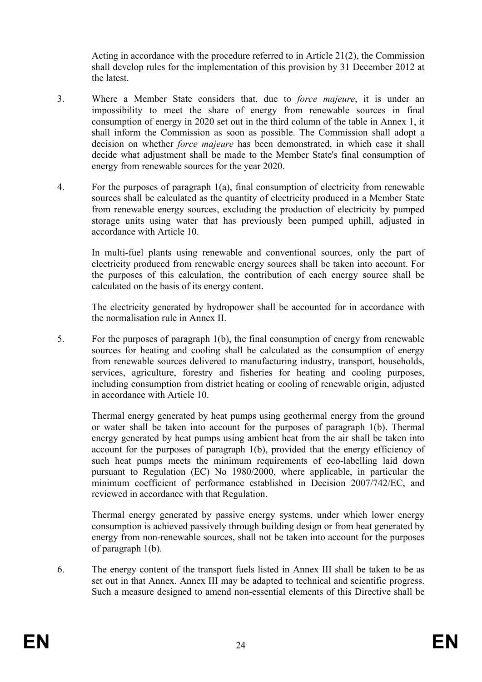Acting in accordance with the procedure referred to in Article 21(2), the Commission shall develop rules for the implementation of this provision by 31 December 2012 at the latest.

- 3. Where a Member State considers that, due to *force majeure*, it is under an impossibility to meet the share of energy from renewable sources in final consumption of energy in 2020 set out in the third column of the table in Annex 1, it shall inform the Commission as soon as possible. The Commission shall adopt a decision on whether *force majeure* has been demonstrated, in which case it shall decide what adjustment shall be made to the Member State's final consumption of energy from renewable sources for the year 2020.
- 4. For the purposes of paragraph 1(a), final consumption of electricity from renewable sources shall be calculated as the quantity of electricity produced in a Member State from renewable energy sources, excluding the production of electricity by pumped storage units using water that has previously been pumped uphill, adjusted in accordance with Article 10.

 In multi-fuel plants using renewable and conventional sources, only the part of electricity produced from renewable energy sources shall be taken into account. For the purposes of this calculation, the contribution of each energy source shall be calculated on the basis of its energy content.

 The electricity generated by hydropower shall be accounted for in accordance with the normalisation rule in Annex II.

5. For the purposes of paragraph 1(b), the final consumption of energy from renewable sources for heating and cooling shall be calculated as the consumption of energy from renewable sources delivered to manufacturing industry, transport, households, services, agriculture, forestry and fisheries for heating and cooling purposes, including consumption from district heating or cooling of renewable origin, adjusted in accordance with Article 10.

 Thermal energy generated by heat pumps using geothermal energy from the ground or water shall be taken into account for the purposes of paragraph 1(b). Thermal energy generated by heat pumps using ambient heat from the air shall be taken into account for the purposes of paragraph 1(b), provided that the energy efficiency of such heat pumps meets the minimum requirements of eco-labelling laid down pursuant to Regulation (EC) No 1980/2000, where applicable, in particular the minimum coefficient of performance established in Decision 2007/742/EC, and reviewed in accordance with that Regulation.

 Thermal energy generated by passive energy systems, under which lower energy consumption is achieved passively through building design or from heat generated by energy from non-renewable sources, shall not be taken into account for the purposes of paragraph 1(b).

6. The energy content of the transport fuels listed in Annex III shall be taken to be as set out in that Annex. Annex III may be adapted to technical and scientific progress. Such a measure designed to amend non-essential elements of this Directive shall be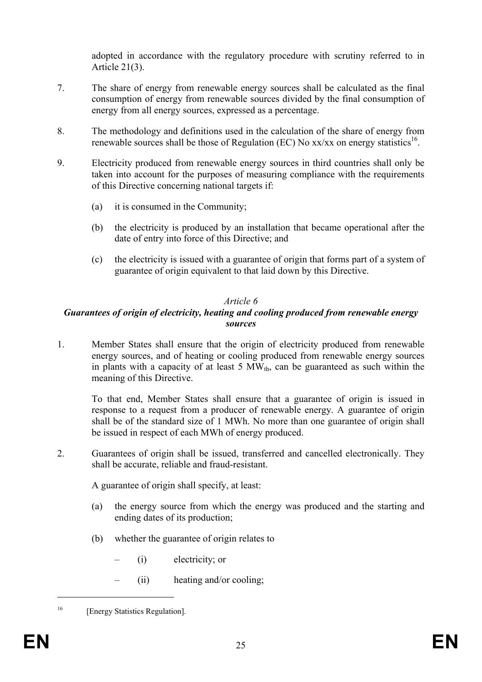adopted in accordance with the regulatory procedure with scrutiny referred to in Article 21(3).

- 7. The share of energy from renewable energy sources shall be calculated as the final consumption of energy from renewable sources divided by the final consumption of energy from all energy sources, expressed as a percentage.
- 8. The methodology and definitions used in the calculation of the share of energy from renewable sources shall be those of Regulation (EC) No  $xx/xx$  on energy statistics<sup>16</sup>.
- 9. Electricity produced from renewable energy sources in third countries shall only be taken into account for the purposes of measuring compliance with the requirements of this Directive concerning national targets if:
	- (a) it is consumed in the Community;
	- (b) the electricity is produced by an installation that became operational after the date of entry into force of this Directive; and
	- (c) the electricity is issued with a guarantee of origin that forms part of a system of guarantee of origin equivalent to that laid down by this Directive.

#### *Article 6*

#### *Guarantees of origin of electricity, heating and cooling produced from renewable energy sources*

1. Member States shall ensure that the origin of electricity produced from renewable energy sources, and of heating or cooling produced from renewable energy sources in plants with a capacity of at least 5  $MW_{th}$ , can be guaranteed as such within the meaning of this Directive.

To that end, Member States shall ensure that a guarantee of origin is issued in response to a request from a producer of renewable energy. A guarantee of origin shall be of the standard size of 1 MWh. No more than one guarantee of origin shall be issued in respect of each MWh of energy produced.

2. Guarantees of origin shall be issued, transferred and cancelled electronically. They shall be accurate, reliable and fraud-resistant.

A guarantee of origin shall specify, at least:

- (a) the energy source from which the energy was produced and the starting and ending dates of its production;
- (b) whether the guarantee of origin relates to
	- (i) electricity; or
	- (ii) heating and/or cooling;

1

<sup>&</sup>lt;sup>16</sup> [Energy Statistics Regulation].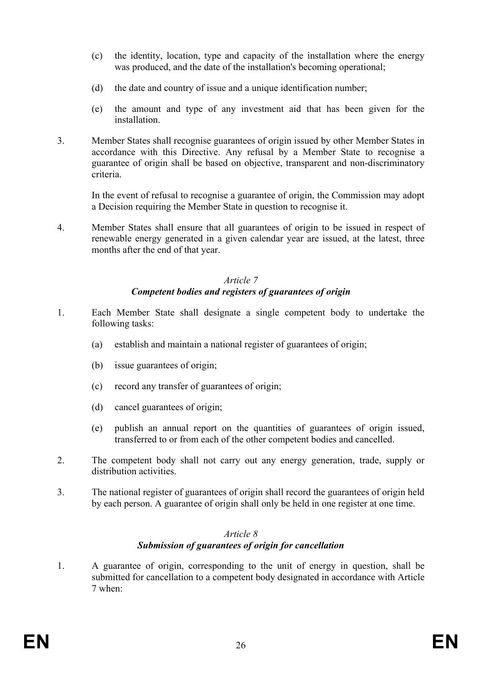- (c) the identity, location, type and capacity of the installation where the energy was produced, and the date of the installation's becoming operational;
- (d) the date and country of issue and a unique identification number;
- (e) the amount and type of any investment aid that has been given for the installation.
- 3. Member States shall recognise guarantees of origin issued by other Member States in accordance with this Directive. Any refusal by a Member State to recognise a guarantee of origin shall be based on objective, transparent and non-discriminatory criteria.

In the event of refusal to recognise a guarantee of origin, the Commission may adopt a Decision requiring the Member State in question to recognise it.

4. Member States shall ensure that all guarantees of origin to be issued in respect of renewable energy generated in a given calendar year are issued, at the latest, three months after the end of that year.

#### *Article 7 Competent bodies and registers of guarantees of origin*

- 1. Each Member State shall designate a single competent body to undertake the following tasks:
	- (a) establish and maintain a national register of guarantees of origin;
	- (b) issue guarantees of origin;
	- (c) record any transfer of guarantees of origin;
	- (d) cancel guarantees of origin;
	- (e) publish an annual report on the quantities of guarantees of origin issued, transferred to or from each of the other competent bodies and cancelled.
- 2. The competent body shall not carry out any energy generation, trade, supply or distribution activities.
- 3. The national register of guarantees of origin shall record the guarantees of origin held by each person. A guarantee of origin shall only be held in one register at one time.

#### *Article 8 Submission of guarantees of origin for cancellation*

1. A guarantee of origin, corresponding to the unit of energy in question, shall be submitted for cancellation to a competent body designated in accordance with Article 7 when: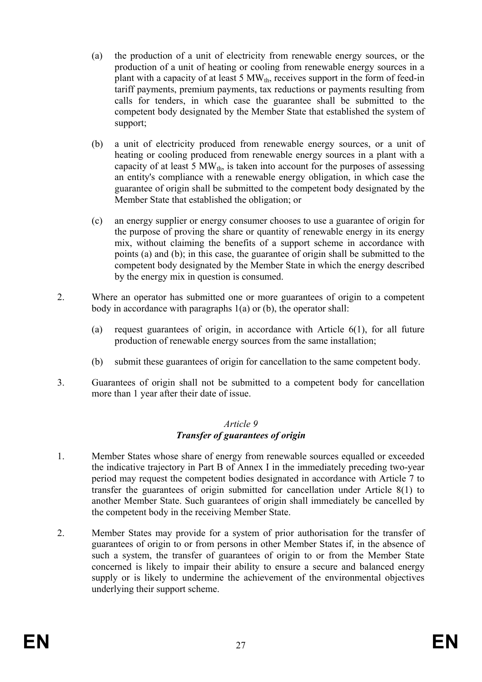- (a) the production of a unit of electricity from renewable energy sources, or the production of a unit of heating or cooling from renewable energy sources in a plant with a capacity of at least 5  $MW_{th}$ , receives support in the form of feed-in tariff payments, premium payments, tax reductions or payments resulting from calls for tenders, in which case the guarantee shall be submitted to the competent body designated by the Member State that established the system of support;
- (b) a unit of electricity produced from renewable energy sources, or a unit of heating or cooling produced from renewable energy sources in a plant with a capacity of at least 5  $MW_{th}$ , is taken into account for the purposes of assessing an entity's compliance with a renewable energy obligation, in which case the guarantee of origin shall be submitted to the competent body designated by the Member State that established the obligation; or
- (c) an energy supplier or energy consumer chooses to use a guarantee of origin for the purpose of proving the share or quantity of renewable energy in its energy mix, without claiming the benefits of a support scheme in accordance with points (a) and (b); in this case, the guarantee of origin shall be submitted to the competent body designated by the Member State in which the energy described by the energy mix in question is consumed.
- 2. Where an operator has submitted one or more guarantees of origin to a competent body in accordance with paragraphs 1(a) or (b), the operator shall:
	- (a) request guarantees of origin, in accordance with Article 6(1), for all future production of renewable energy sources from the same installation;
	- (b) submit these guarantees of origin for cancellation to the same competent body.
- 3. Guarantees of origin shall not be submitted to a competent body for cancellation more than 1 year after their date of issue.

#### *Article 9 Transfer of guarantees of origin*

- 1. Member States whose share of energy from renewable sources equalled or exceeded the indicative trajectory in Part B of Annex I in the immediately preceding two-year period may request the competent bodies designated in accordance with Article 7 to transfer the guarantees of origin submitted for cancellation under Article 8(1) to another Member State. Such guarantees of origin shall immediately be cancelled by the competent body in the receiving Member State.
- 2. Member States may provide for a system of prior authorisation for the transfer of guarantees of origin to or from persons in other Member States if, in the absence of such a system, the transfer of guarantees of origin to or from the Member State concerned is likely to impair their ability to ensure a secure and balanced energy supply or is likely to undermine the achievement of the environmental objectives underlying their support scheme.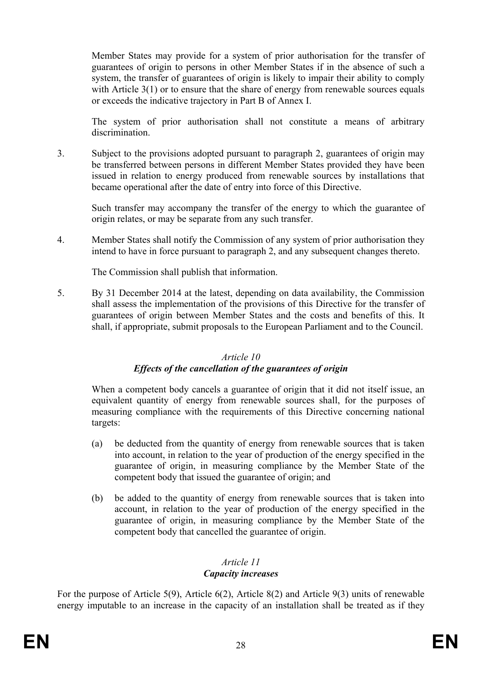Member States may provide for a system of prior authorisation for the transfer of guarantees of origin to persons in other Member States if in the absence of such a system, the transfer of guarantees of origin is likely to impair their ability to comply with Article 3(1) or to ensure that the share of energy from renewable sources equals or exceeds the indicative trajectory in Part B of Annex I.

The system of prior authorisation shall not constitute a means of arbitrary discrimination.

3. Subject to the provisions adopted pursuant to paragraph 2, guarantees of origin may be transferred between persons in different Member States provided they have been issued in relation to energy produced from renewable sources by installations that became operational after the date of entry into force of this Directive.

 Such transfer may accompany the transfer of the energy to which the guarantee of origin relates, or may be separate from any such transfer.

4. Member States shall notify the Commission of any system of prior authorisation they intend to have in force pursuant to paragraph 2, and any subsequent changes thereto.

The Commission shall publish that information.

5. By 31 December 2014 at the latest, depending on data availability, the Commission shall assess the implementation of the provisions of this Directive for the transfer of guarantees of origin between Member States and the costs and benefits of this. It shall, if appropriate, submit proposals to the European Parliament and to the Council.

### *Article 10*

### *Effects of the cancellation of the guarantees of origin*

 When a competent body cancels a guarantee of origin that it did not itself issue, an equivalent quantity of energy from renewable sources shall, for the purposes of measuring compliance with the requirements of this Directive concerning national targets:

- (a) be deducted from the quantity of energy from renewable sources that is taken into account, in relation to the year of production of the energy specified in the guarantee of origin, in measuring compliance by the Member State of the competent body that issued the guarantee of origin; and
- (b) be added to the quantity of energy from renewable sources that is taken into account, in relation to the year of production of the energy specified in the guarantee of origin, in measuring compliance by the Member State of the competent body that cancelled the guarantee of origin.

## *Article 11*

## *Capacity increases*

For the purpose of Article 5(9), Article 6(2), Article 8(2) and Article 9(3) units of renewable energy imputable to an increase in the capacity of an installation shall be treated as if they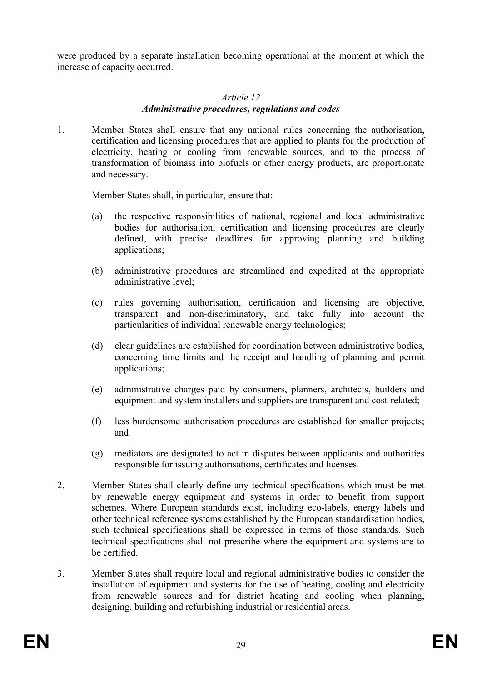were produced by a separate installation becoming operational at the moment at which the increase of capacity occurred.

#### *Article 12*

#### *Administrative procedures, regulations and codes*

1. Member States shall ensure that any national rules concerning the authorisation, certification and licensing procedures that are applied to plants for the production of electricity, heating or cooling from renewable sources, and to the process of transformation of biomass into biofuels or other energy products, are proportionate and necessary.

Member States shall, in particular, ensure that:

- (a) the respective responsibilities of national, regional and local administrative bodies for authorisation, certification and licensing procedures are clearly defined, with precise deadlines for approving planning and building applications;
- (b) administrative procedures are streamlined and expedited at the appropriate administrative level;
- (c) rules governing authorisation, certification and licensing are objective, transparent and non-discriminatory, and take fully into account the particularities of individual renewable energy technologies;
- (d) clear guidelines are established for coordination between administrative bodies, concerning time limits and the receipt and handling of planning and permit applications;
- (e) administrative charges paid by consumers, planners, architects, builders and equipment and system installers and suppliers are transparent and cost-related;
- (f) less burdensome authorisation procedures are established for smaller projects; and
- (g) mediators are designated to act in disputes between applicants and authorities responsible for issuing authorisations, certificates and licenses.
- 2. Member States shall clearly define any technical specifications which must be met by renewable energy equipment and systems in order to benefit from support schemes. Where European standards exist, including eco-labels, energy labels and other technical reference systems established by the European standardisation bodies, such technical specifications shall be expressed in terms of those standards. Such technical specifications shall not prescribe where the equipment and systems are to be certified.
- 3. Member States shall require local and regional administrative bodies to consider the installation of equipment and systems for the use of heating, cooling and electricity from renewable sources and for district heating and cooling when planning, designing, building and refurbishing industrial or residential areas.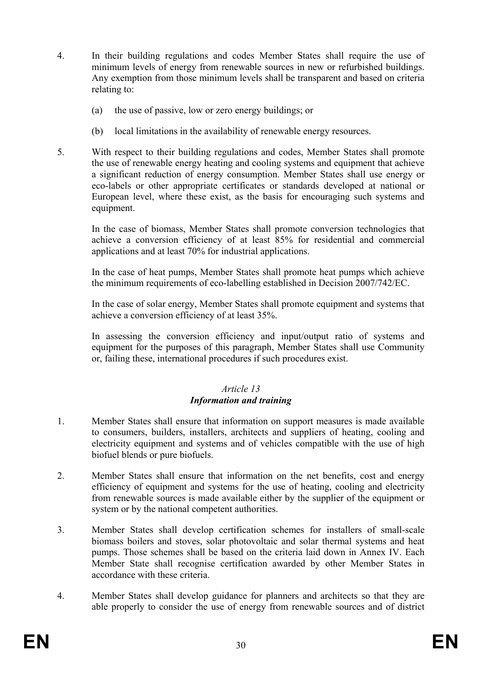- 4. In their building regulations and codes Member States shall require the use of minimum levels of energy from renewable sources in new or refurbished buildings. Any exemption from those minimum levels shall be transparent and based on criteria relating to:
	- (a) the use of passive, low or zero energy buildings; or
	- (b) local limitations in the availability of renewable energy resources.
- 5. With respect to their building regulations and codes, Member States shall promote the use of renewable energy heating and cooling systems and equipment that achieve a significant reduction of energy consumption. Member States shall use energy or eco-labels or other appropriate certificates or standards developed at national or European level, where these exist, as the basis for encouraging such systems and equipment.

 In the case of biomass, Member States shall promote conversion technologies that achieve a conversion efficiency of at least 85% for residential and commercial applications and at least 70% for industrial applications.

In the case of heat pumps, Member States shall promote heat pumps which achieve the minimum requirements of eco-labelling established in Decision 2007/742/EC.

 In the case of solar energy, Member States shall promote equipment and systems that achieve a conversion efficiency of at least 35%.

In assessing the conversion efficiency and input/output ratio of systems and equipment for the purposes of this paragraph, Member States shall use Community or, failing these, international procedures if such procedures exist.

#### *Article 13 Information and training*

- 1. Member States shall ensure that information on support measures is made available to consumers, builders, installers, architects and suppliers of heating, cooling and electricity equipment and systems and of vehicles compatible with the use of high biofuel blends or pure biofuels.
- 2. Member States shall ensure that information on the net benefits, cost and energy efficiency of equipment and systems for the use of heating, cooling and electricity from renewable sources is made available either by the supplier of the equipment or system or by the national competent authorities.
- 3. Member States shall develop certification schemes for installers of small-scale biomass boilers and stoves, solar photovoltaic and solar thermal systems and heat pumps. Those schemes shall be based on the criteria laid down in Annex IV. Each Member State shall recognise certification awarded by other Member States in accordance with these criteria.
- 4. Member States shall develop guidance for planners and architects so that they are able properly to consider the use of energy from renewable sources and of district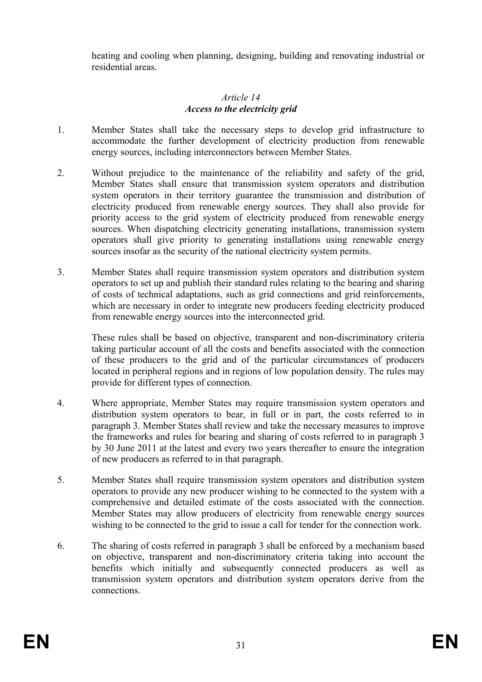heating and cooling when planning, designing, building and renovating industrial or residential areas.

#### *Article 14 Access to the electricity grid*

- 1. Member States shall take the necessary steps to develop grid infrastructure to accommodate the further development of electricity production from renewable energy sources, including interconnectors between Member States.
- 2. Without prejudice to the maintenance of the reliability and safety of the grid, Member States shall ensure that transmission system operators and distribution system operators in their territory guarantee the transmission and distribution of electricity produced from renewable energy sources. They shall also provide for priority access to the grid system of electricity produced from renewable energy sources. When dispatching electricity generating installations, transmission system operators shall give priority to generating installations using renewable energy sources insofar as the security of the national electricity system permits.
- 3. Member States shall require transmission system operators and distribution system operators to set up and publish their standard rules relating to the bearing and sharing of costs of technical adaptations, such as grid connections and grid reinforcements, which are necessary in order to integrate new producers feeding electricity produced from renewable energy sources into the interconnected grid.

 These rules shall be based on objective, transparent and non-discriminatory criteria taking particular account of all the costs and benefits associated with the connection of these producers to the grid and of the particular circumstances of producers located in peripheral regions and in regions of low population density. The rules may provide for different types of connection.

- 4. Where appropriate, Member States may require transmission system operators and distribution system operators to bear, in full or in part, the costs referred to in paragraph 3. Member States shall review and take the necessary measures to improve the frameworks and rules for bearing and sharing of costs referred to in paragraph 3 by 30 June 2011 at the latest and every two years thereafter to ensure the integration of new producers as referred to in that paragraph.
- 5. Member States shall require transmission system operators and distribution system operators to provide any new producer wishing to be connected to the system with a comprehensive and detailed estimate of the costs associated with the connection. Member States may allow producers of electricity from renewable energy sources wishing to be connected to the grid to issue a call for tender for the connection work.
- 6. The sharing of costs referred in paragraph 3 shall be enforced by a mechanism based on objective, transparent and non-discriminatory criteria taking into account the benefits which initially and subsequently connected producers as well as transmission system operators and distribution system operators derive from the connections.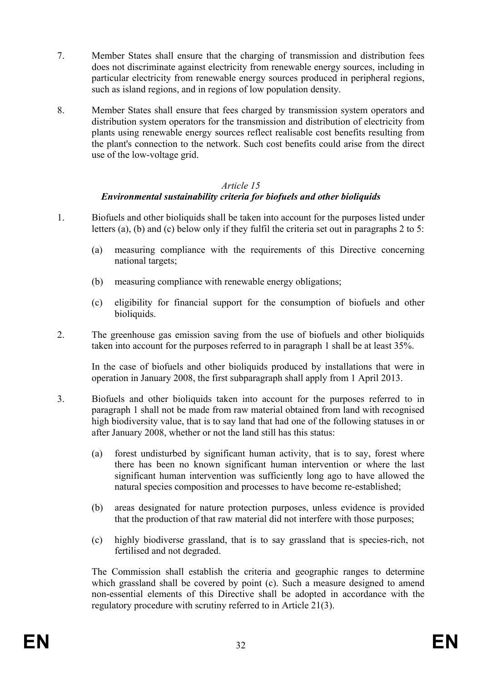- 7. Member States shall ensure that the charging of transmission and distribution fees does not discriminate against electricity from renewable energy sources, including in particular electricity from renewable energy sources produced in peripheral regions, such as island regions, and in regions of low population density.
- 8. Member States shall ensure that fees charged by transmission system operators and distribution system operators for the transmission and distribution of electricity from plants using renewable energy sources reflect realisable cost benefits resulting from the plant's connection to the network. Such cost benefits could arise from the direct use of the low-voltage grid.

#### *Article 15 Environmental sustainability criteria for biofuels and other bioliquids*

- 1. Biofuels and other bioliquids shall be taken into account for the purposes listed under letters (a), (b) and (c) below only if they fulfil the criteria set out in paragraphs 2 to 5:
	- (a) measuring compliance with the requirements of this Directive concerning national targets;
	- (b) measuring compliance with renewable energy obligations;
	- (c) eligibility for financial support for the consumption of biofuels and other bioliquids.
- 2. The greenhouse gas emission saving from the use of biofuels and other bioliquids taken into account for the purposes referred to in paragraph 1 shall be at least 35%.

 In the case of biofuels and other bioliquids produced by installations that were in operation in January 2008, the first subparagraph shall apply from 1 April 2013.

- 3. Biofuels and other bioliquids taken into account for the purposes referred to in paragraph 1 shall not be made from raw material obtained from land with recognised high biodiversity value, that is to say land that had one of the following statuses in or after January 2008, whether or not the land still has this status:
	- (a) forest undisturbed by significant human activity, that is to say, forest where there has been no known significant human intervention or where the last significant human intervention was sufficiently long ago to have allowed the natural species composition and processes to have become re-established;
	- (b) areas designated for nature protection purposes, unless evidence is provided that the production of that raw material did not interfere with those purposes;
	- (c) highly biodiverse grassland, that is to say grassland that is species-rich, not fertilised and not degraded.

The Commission shall establish the criteria and geographic ranges to determine which grassland shall be covered by point (c). Such a measure designed to amend non-essential elements of this Directive shall be adopted in accordance with the regulatory procedure with scrutiny referred to in Article 21(3).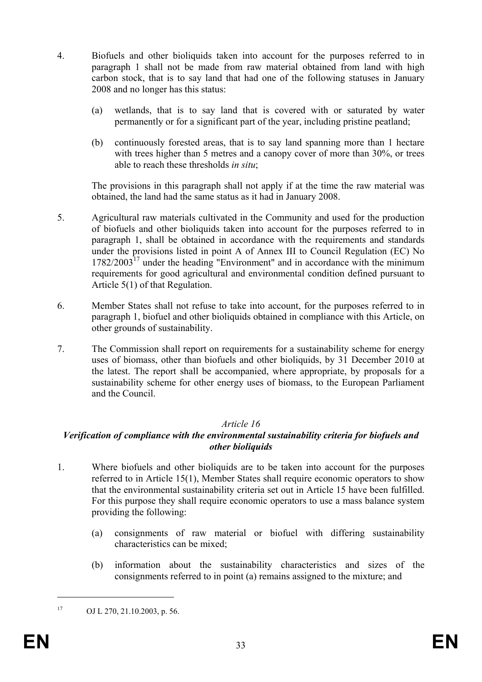- 4. Biofuels and other bioliquids taken into account for the purposes referred to in paragraph 1 shall not be made from raw material obtained from land with high carbon stock, that is to say land that had one of the following statuses in January 2008 and no longer has this status:
	- (a) wetlands, that is to say land that is covered with or saturated by water permanently or for a significant part of the year, including pristine peatland;
	- (b) continuously forested areas, that is to say land spanning more than 1 hectare with trees higher than 5 metres and a canopy cover of more than 30%, or trees able to reach these thresholds *in situ*;

 The provisions in this paragraph shall not apply if at the time the raw material was obtained, the land had the same status as it had in January 2008.

- 5. Agricultural raw materials cultivated in the Community and used for the production of biofuels and other bioliquids taken into account for the purposes referred to in paragraph 1, shall be obtained in accordance with the requirements and standards under the provisions listed in point A of Annex III to Council Regulation (EC) No  $1782/2003<sup>17</sup>$  under the heading "Environment" and in accordance with the minimum requirements for good agricultural and environmental condition defined pursuant to Article 5(1) of that Regulation.
- 6. Member States shall not refuse to take into account, for the purposes referred to in paragraph 1, biofuel and other bioliquids obtained in compliance with this Article, on other grounds of sustainability.
- 7. The Commission shall report on requirements for a sustainability scheme for energy uses of biomass, other than biofuels and other bioliquids, by 31 December 2010 at the latest. The report shall be accompanied, where appropriate, by proposals for a sustainability scheme for other energy uses of biomass, to the European Parliament and the Council.

### *Article 16*

### *Verification of compliance with the environmental sustainability criteria for biofuels and other bioliquids*

- 1. Where biofuels and other bioliquids are to be taken into account for the purposes referred to in Article 15(1), Member States shall require economic operators to show that the environmental sustainability criteria set out in Article 15 have been fulfilled. For this purpose they shall require economic operators to use a mass balance system providing the following:
	- (a) consignments of raw material or biofuel with differing sustainability characteristics can be mixed;
	- (b) information about the sustainability characteristics and sizes of the consignments referred to in point (a) remains assigned to the mixture; and

1

<sup>17</sup> OJ L 270, 21.10.2003, p. 56.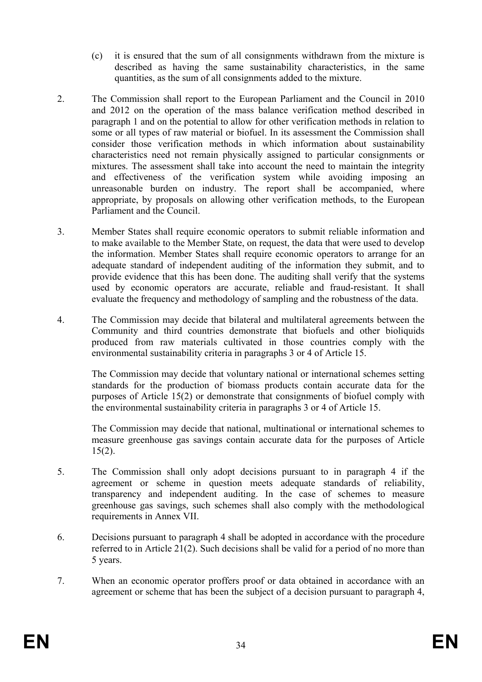- (c) it is ensured that the sum of all consignments withdrawn from the mixture is described as having the same sustainability characteristics, in the same quantities, as the sum of all consignments added to the mixture.
- 2. The Commission shall report to the European Parliament and the Council in 2010 and 2012 on the operation of the mass balance verification method described in paragraph 1 and on the potential to allow for other verification methods in relation to some or all types of raw material or biofuel. In its assessment the Commission shall consider those verification methods in which information about sustainability characteristics need not remain physically assigned to particular consignments or mixtures. The assessment shall take into account the need to maintain the integrity and effectiveness of the verification system while avoiding imposing an unreasonable burden on industry. The report shall be accompanied, where appropriate, by proposals on allowing other verification methods, to the European Parliament and the Council.
- 3. Member States shall require economic operators to submit reliable information and to make available to the Member State, on request, the data that were used to develop the information. Member States shall require economic operators to arrange for an adequate standard of independent auditing of the information they submit, and to provide evidence that this has been done. The auditing shall verify that the systems used by economic operators are accurate, reliable and fraud-resistant. It shall evaluate the frequency and methodology of sampling and the robustness of the data.
- 4. The Commission may decide that bilateral and multilateral agreements between the Community and third countries demonstrate that biofuels and other bioliquids produced from raw materials cultivated in those countries comply with the environmental sustainability criteria in paragraphs 3 or 4 of Article 15.

 The Commission may decide that voluntary national or international schemes setting standards for the production of biomass products contain accurate data for the purposes of Article 15(2) or demonstrate that consignments of biofuel comply with the environmental sustainability criteria in paragraphs 3 or 4 of Article 15.

 The Commission may decide that national, multinational or international schemes to measure greenhouse gas savings contain accurate data for the purposes of Article  $15(2)$ .

- 5. The Commission shall only adopt decisions pursuant to in paragraph 4 if the agreement or scheme in question meets adequate standards of reliability, transparency and independent auditing. In the case of schemes to measure greenhouse gas savings, such schemes shall also comply with the methodological requirements in Annex VII.
- 6. Decisions pursuant to paragraph 4 shall be adopted in accordance with the procedure referred to in Article 21(2). Such decisions shall be valid for a period of no more than 5 years.
- 7. When an economic operator proffers proof or data obtained in accordance with an agreement or scheme that has been the subject of a decision pursuant to paragraph 4,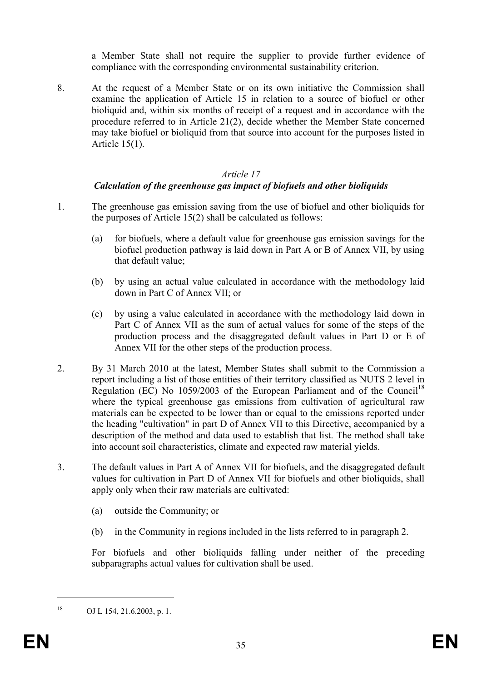a Member State shall not require the supplier to provide further evidence of compliance with the corresponding environmental sustainability criterion.

8. At the request of a Member State or on its own initiative the Commission shall examine the application of Article 15 in relation to a source of biofuel or other bioliquid and, within six months of receipt of a request and in accordance with the procedure referred to in Article 21(2), decide whether the Member State concerned may take biofuel or bioliquid from that source into account for the purposes listed in Article 15(1).

#### *Article 17*

### *Calculation of the greenhouse gas impact of biofuels and other bioliquids*

- 1. The greenhouse gas emission saving from the use of biofuel and other bioliquids for the purposes of Article 15(2) shall be calculated as follows:
	- (a) for biofuels, where a default value for greenhouse gas emission savings for the biofuel production pathway is laid down in Part A or B of Annex VII, by using that default value;
	- (b) by using an actual value calculated in accordance with the methodology laid down in Part C of Annex VII; or
	- (c) by using a value calculated in accordance with the methodology laid down in Part C of Annex VII as the sum of actual values for some of the steps of the production process and the disaggregated default values in Part D or E of Annex VII for the other steps of the production process.
- 2. By 31 March 2010 at the latest, Member States shall submit to the Commission a report including a list of those entities of their territory classified as NUTS 2 level in Regulation (EC) No 1059/2003 of the European Parliament and of the Council<sup>18</sup> where the typical greenhouse gas emissions from cultivation of agricultural raw materials can be expected to be lower than or equal to the emissions reported under the heading "cultivation" in part D of Annex VII to this Directive, accompanied by a description of the method and data used to establish that list. The method shall take into account soil characteristics, climate and expected raw material yields.
- 3. The default values in Part A of Annex VII for biofuels, and the disaggregated default values for cultivation in Part D of Annex VII for biofuels and other bioliquids, shall apply only when their raw materials are cultivated:
	- (a) outside the Community; or
	- (b) in the Community in regions included in the lists referred to in paragraph 2.

For biofuels and other bioliquids falling under neither of the preceding subparagraphs actual values for cultivation shall be used.

1

 $^{18}$  OJ L 154, 21.6.2003, p. 1.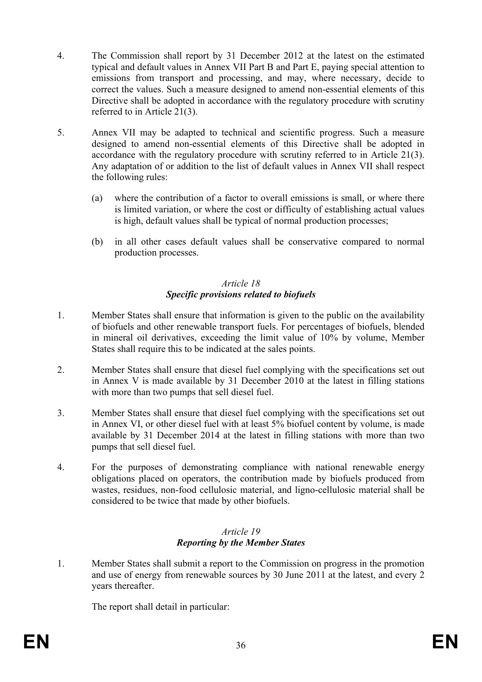- 4. The Commission shall report by 31 December 2012 at the latest on the estimated typical and default values in Annex VII Part B and Part E, paying special attention to emissions from transport and processing, and may, where necessary, decide to correct the values. Such a measure designed to amend non-essential elements of this Directive shall be adopted in accordance with the regulatory procedure with scrutiny referred to in Article 21(3).
- 5. Annex VII may be adapted to technical and scientific progress. Such a measure designed to amend non-essential elements of this Directive shall be adopted in accordance with the regulatory procedure with scrutiny referred to in Article 21(3). Any adaptation of or addition to the list of default values in Annex VII shall respect the following rules:
	- (a) where the contribution of a factor to overall emissions is small, or where there is limited variation, or where the cost or difficulty of establishing actual values is high, default values shall be typical of normal production processes;
	- (b) in all other cases default values shall be conservative compared to normal production processes.

## *Article 18 Specific provisions related to biofuels*

- 1. Member States shall ensure that information is given to the public on the availability of biofuels and other renewable transport fuels. For percentages of biofuels, blended in mineral oil derivatives, exceeding the limit value of 10% by volume, Member States shall require this to be indicated at the sales points.
- 2. Member States shall ensure that diesel fuel complying with the specifications set out in Annex V is made available by 31 December 2010 at the latest in filling stations with more than two pumps that sell diesel fuel.
- 3. Member States shall ensure that diesel fuel complying with the specifications set out in Annex VI, or other diesel fuel with at least 5% biofuel content by volume, is made available by 31 December 2014 at the latest in filling stations with more than two pumps that sell diesel fuel.
- 4. For the purposes of demonstrating compliance with national renewable energy obligations placed on operators, the contribution made by biofuels produced from wastes, residues, non-food cellulosic material, and ligno-cellulosic material shall be considered to be twice that made by other biofuels.

#### *Article 19 Reporting by the Member States*

1. Member States shall submit a report to the Commission on progress in the promotion and use of energy from renewable sources by 30 June 2011 at the latest, and every 2 years thereafter.

The report shall detail in particular: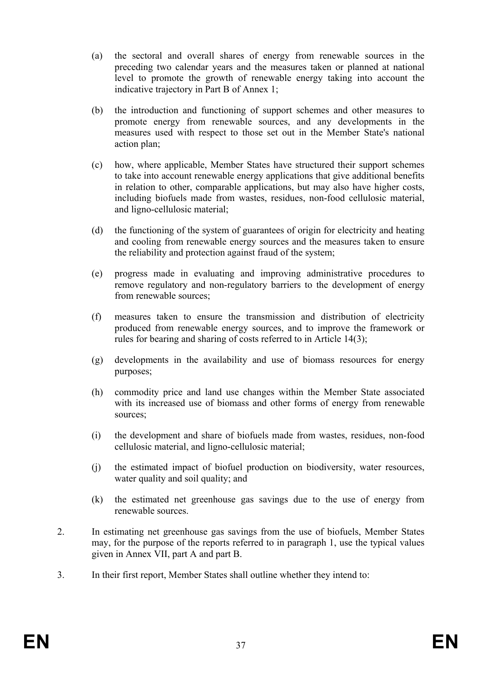- (a) the sectoral and overall shares of energy from renewable sources in the preceding two calendar years and the measures taken or planned at national level to promote the growth of renewable energy taking into account the indicative trajectory in Part B of Annex 1;
- (b) the introduction and functioning of support schemes and other measures to promote energy from renewable sources, and any developments in the measures used with respect to those set out in the Member State's national action plan;
- (c) how, where applicable, Member States have structured their support schemes to take into account renewable energy applications that give additional benefits in relation to other, comparable applications, but may also have higher costs, including biofuels made from wastes, residues, non-food cellulosic material, and ligno-cellulosic material;
- (d) the functioning of the system of guarantees of origin for electricity and heating and cooling from renewable energy sources and the measures taken to ensure the reliability and protection against fraud of the system;
- (e) progress made in evaluating and improving administrative procedures to remove regulatory and non-regulatory barriers to the development of energy from renewable sources:
- (f) measures taken to ensure the transmission and distribution of electricity produced from renewable energy sources, and to improve the framework or rules for bearing and sharing of costs referred to in Article 14(3);
- (g) developments in the availability and use of biomass resources for energy purposes;
- (h) commodity price and land use changes within the Member State associated with its increased use of biomass and other forms of energy from renewable sources;
- (i) the development and share of biofuels made from wastes, residues, non-food cellulosic material, and ligno-cellulosic material;
- (j) the estimated impact of biofuel production on biodiversity, water resources, water quality and soil quality; and
- (k) the estimated net greenhouse gas savings due to the use of energy from renewable sources.
- 2. In estimating net greenhouse gas savings from the use of biofuels, Member States may, for the purpose of the reports referred to in paragraph 1, use the typical values given in Annex VII, part A and part B.
- 3. In their first report, Member States shall outline whether they intend to: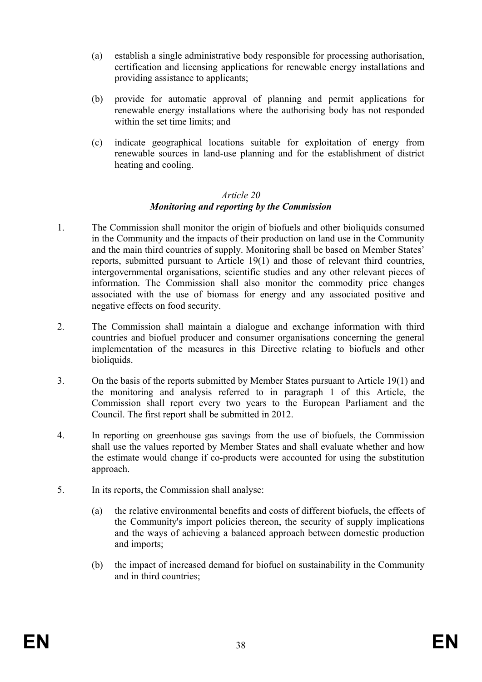- (a) establish a single administrative body responsible for processing authorisation, certification and licensing applications for renewable energy installations and providing assistance to applicants;
- (b) provide for automatic approval of planning and permit applications for renewable energy installations where the authorising body has not responded within the set time limits; and
- (c) indicate geographical locations suitable for exploitation of energy from renewable sources in land-use planning and for the establishment of district heating and cooling.

#### *Article 20 Monitoring and reporting by the Commission*

- 1. The Commission shall monitor the origin of biofuels and other bioliquids consumed in the Community and the impacts of their production on land use in the Community and the main third countries of supply. Monitoring shall be based on Member States' reports, submitted pursuant to Article 19(1) and those of relevant third countries, intergovernmental organisations, scientific studies and any other relevant pieces of information. The Commission shall also monitor the commodity price changes associated with the use of biomass for energy and any associated positive and negative effects on food security.
- 2. The Commission shall maintain a dialogue and exchange information with third countries and biofuel producer and consumer organisations concerning the general implementation of the measures in this Directive relating to biofuels and other bioliquids.
- 3. On the basis of the reports submitted by Member States pursuant to Article 19(1) and the monitoring and analysis referred to in paragraph 1 of this Article, the Commission shall report every two years to the European Parliament and the Council. The first report shall be submitted in 2012.
- 4. In reporting on greenhouse gas savings from the use of biofuels, the Commission shall use the values reported by Member States and shall evaluate whether and how the estimate would change if co-products were accounted for using the substitution approach.
- 5. In its reports, the Commission shall analyse:
	- (a) the relative environmental benefits and costs of different biofuels, the effects of the Community's import policies thereon, the security of supply implications and the ways of achieving a balanced approach between domestic production and imports;
	- (b) the impact of increased demand for biofuel on sustainability in the Community and in third countries;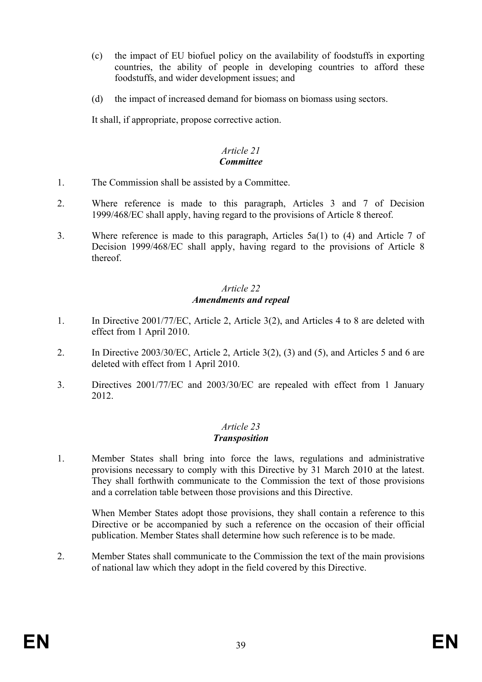- (c) the impact of EU biofuel policy on the availability of foodstuffs in exporting countries, the ability of people in developing countries to afford these foodstuffs, and wider development issues; and
- (d) the impact of increased demand for biomass on biomass using sectors.

It shall, if appropriate, propose corrective action.

#### *Article 21 Committee*

- 1. The Commission shall be assisted by a Committee.
- 2. Where reference is made to this paragraph, Articles 3 and 7 of Decision 1999/468/EC shall apply, having regard to the provisions of Article 8 thereof.
- 3. Where reference is made to this paragraph, Articles 5a(1) to (4) and Article 7 of Decision 1999/468/EC shall apply, having regard to the provisions of Article 8 thereof.

#### *Article 22 Amendments and repeal*

- 1. In Directive 2001/77/EC, Article 2, Article 3(2), and Articles 4 to 8 are deleted with effect from 1 April 2010.
- 2. In Directive 2003/30/EC, Article 2, Article 3(2), (3) and (5), and Articles 5 and 6 are deleted with effect from 1 April 2010.
- 3. Directives 2001/77/EC and 2003/30/EC are repealed with effect from 1 January 2012.

# *Article 23*

#### *Transposition*

1. Member States shall bring into force the laws, regulations and administrative provisions necessary to comply with this Directive by 31 March 2010 at the latest. They shall forthwith communicate to the Commission the text of those provisions and a correlation table between those provisions and this Directive.

When Member States adopt those provisions, they shall contain a reference to this Directive or be accompanied by such a reference on the occasion of their official publication. Member States shall determine how such reference is to be made.

2. Member States shall communicate to the Commission the text of the main provisions of national law which they adopt in the field covered by this Directive.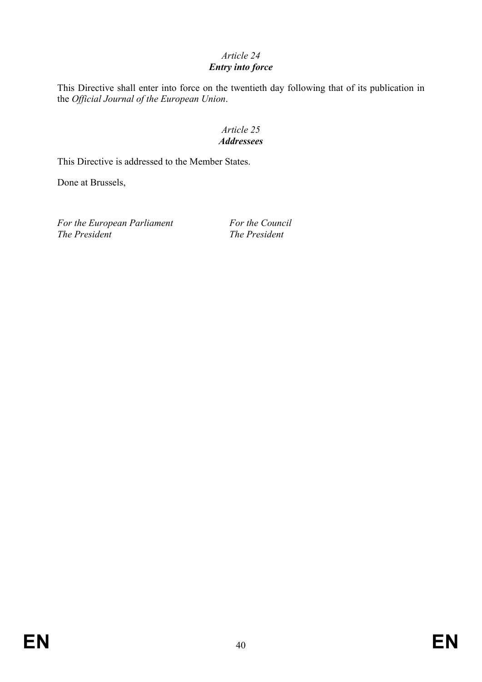# *Article 24*

## *Entry into force*

This Directive shall enter into force on the twentieth day following that of its publication in the *Official Journal of the European Union*.

#### *Article 25 Addressees*

This Directive is addressed to the Member States.

Done at Brussels,

For the European Parliament For the Council *The President The President*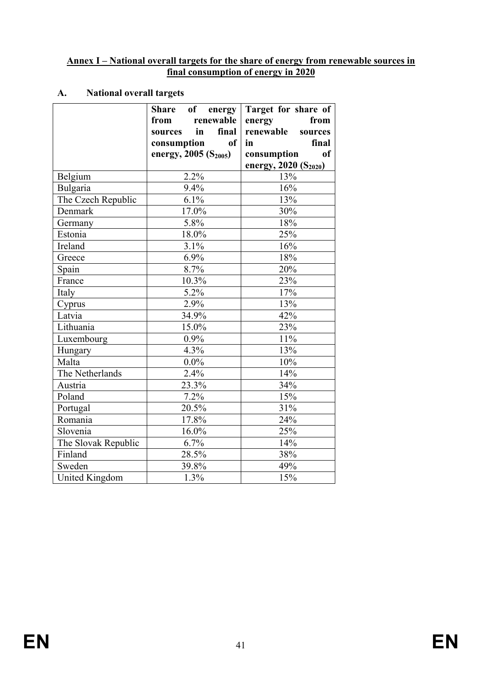#### **Annex I – National overall targets for the share of energy from renewable sources in final consumption of energy in 2020**

## **A. National overall targets**

|                       | <b>Share</b><br>of energy<br>renewable<br>from<br>in<br>final<br>sources<br>consumption<br><sub>of</sub><br>energy, 2005 (S <sub>2005</sub> ) | Target for share of<br>from<br>energy<br>renewable<br>sources<br>final<br>in<br>consumption<br>of |
|-----------------------|-----------------------------------------------------------------------------------------------------------------------------------------------|---------------------------------------------------------------------------------------------------|
| Belgium               | 2.2%                                                                                                                                          | energy, 2020 (S <sub>2020</sub> )<br>13%                                                          |
| Bulgaria              | 9.4%                                                                                                                                          | 16%                                                                                               |
| The Czech Republic    | 6.1%                                                                                                                                          | 13%                                                                                               |
| Denmark               | 17.0%                                                                                                                                         | 30%                                                                                               |
|                       | 5.8%                                                                                                                                          | 18%                                                                                               |
| Germany<br>Estonia    | 18.0%                                                                                                                                         | 25%                                                                                               |
| Ireland               | 3.1%                                                                                                                                          | 16%                                                                                               |
| Greece                | 6.9%                                                                                                                                          | 18%                                                                                               |
| Spain                 | 8.7%                                                                                                                                          | 20%                                                                                               |
| France                | 10.3%                                                                                                                                         | 23%                                                                                               |
| Italy                 | 5.2%                                                                                                                                          | 17%                                                                                               |
| Cyprus                | $\overline{2.9\%}$                                                                                                                            | 13%                                                                                               |
| Latvia                | 34.9%                                                                                                                                         | 42%                                                                                               |
| Lithuania             | 15.0%                                                                                                                                         | 23%                                                                                               |
| Luxembourg            | 0.9%                                                                                                                                          | 11%                                                                                               |
| Hungary               | 4.3%                                                                                                                                          | 13%                                                                                               |
| Malta                 | $0.0\%$                                                                                                                                       | 10%                                                                                               |
| The Netherlands       | 2.4%                                                                                                                                          | 14%                                                                                               |
| Austria               | 23.3%                                                                                                                                         | 34%                                                                                               |
| Poland                | 7.2%                                                                                                                                          | 15%                                                                                               |
| Portugal              | 20.5%                                                                                                                                         | 31%                                                                                               |
| Romania               | 17.8%                                                                                                                                         | 24%                                                                                               |
| Slovenia              | 16.0%                                                                                                                                         | 25%                                                                                               |
| The Slovak Republic   | 6.7%                                                                                                                                          | 14%                                                                                               |
| Finland               | 28.5%                                                                                                                                         | 38%                                                                                               |
| Sweden                | 39.8%                                                                                                                                         | 49%                                                                                               |
| <b>United Kingdom</b> | 1.3%                                                                                                                                          | 15%                                                                                               |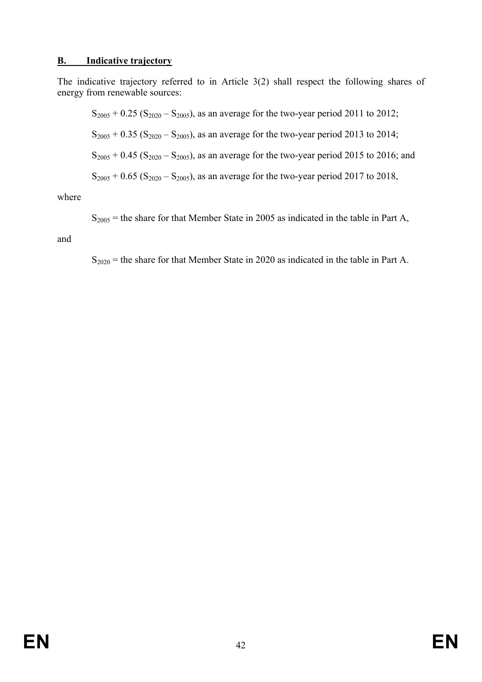#### **B. Indicative trajectory**

The indicative trajectory referred to in Article 3(2) shall respect the following shares of energy from renewable sources:

 $S_{2005} + 0.25$  ( $S_{2020} - S_{2005}$ ), as an average for the two-year period 2011 to 2012;  $S_{2005} + 0.35 (S_{2020} - S_{2005})$ , as an average for the two-year period 2013 to 2014;  $S_{2005} + 0.45$  (S<sub>2020</sub> – S<sub>2005</sub>), as an average for the two-year period 2015 to 2016; and  $S_{2005} + 0.65$  ( $S_{2020} - S_{2005}$ ), as an average for the two-year period 2017 to 2018,

where

 $S<sub>2005</sub>$  = the share for that Member State in 2005 as indicated in the table in Part A,

and

 $S_{2020}$  = the share for that Member State in 2020 as indicated in the table in Part A.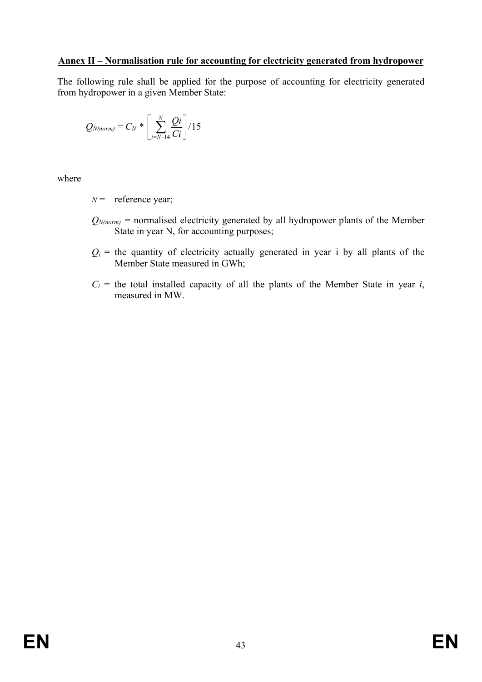#### **Annex II – Normalisation rule for accounting for electricity generated from hydropower**

The following rule shall be applied for the purpose of accounting for electricity generated from hydropower in a given Member State:

$$
Q_{N(norm)} = C_N * \left[ \sum_{i=N-14}^{N} \frac{Qi}{Ci} \right] / 15
$$

where

 $N =$  reference year;

- $Q_{N(norm)}$  = normalised electricity generated by all hydropower plants of the Member State in year N, for accounting purposes;
- $Q_i$  = the quantity of electricity actually generated in year i by all plants of the Member State measured in GWh;
- $C_i$  = the total installed capacity of all the plants of the Member State in year *i*, measured in MW.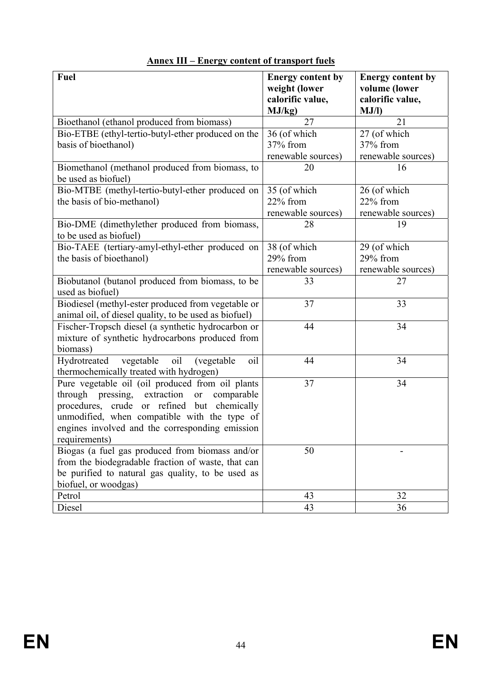| Fuel                                                                    | <b>Energy content by</b><br>weight (lower<br>calorific value, | <b>Energy content by</b><br>volume (lower<br>calorific value, |
|-------------------------------------------------------------------------|---------------------------------------------------------------|---------------------------------------------------------------|
|                                                                         | MJ/kg)                                                        | MJ/l                                                          |
| Bioethanol (ethanol produced from biomass)                              | 27                                                            | 21                                                            |
| Bio-ETBE (ethyl-tertio-butyl-ether produced on the                      | 36 (of which                                                  | 27 (of which                                                  |
| basis of bioethanol)                                                    | 37% from                                                      | 37% from                                                      |
|                                                                         | renewable sources)                                            | renewable sources)                                            |
| Biomethanol (methanol produced from biomass, to<br>be used as biofuel)  | 20                                                            | 16                                                            |
| Bio-MTBE (methyl-tertio-butyl-ether produced on                         | 35 (of which                                                  | 26 (of which                                                  |
| the basis of bio-methanol)                                              | 22% from                                                      | 22% from                                                      |
|                                                                         | renewable sources)                                            | renewable sources)                                            |
| Bio-DME (dimethylether produced from biomass,<br>to be used as biofuel) | 28                                                            | 19                                                            |
| Bio-TAEE (tertiary-amyl-ethyl-ether produced on                         | 38 (of which                                                  | 29 (of which                                                  |
| the basis of bioethanol)                                                | 29% from                                                      | 29% from                                                      |
|                                                                         | renewable sources)                                            | renewable sources)                                            |
| Biobutanol (butanol produced from biomass, to be                        | 33                                                            | 27                                                            |
| used as biofuel)                                                        |                                                               |                                                               |
| Biodiesel (methyl-ester produced from vegetable or                      | 37                                                            | 33                                                            |
| animal oil, of diesel quality, to be used as biofuel)                   |                                                               |                                                               |
| Fischer-Tropsch diesel (a synthetic hydrocarbon or                      | 44                                                            | 34                                                            |
| mixture of synthetic hydrocarbons produced from                         |                                                               |                                                               |
| biomass)                                                                |                                                               |                                                               |
| oil<br>vegetable<br>(vegetable<br>oil<br>Hydrotreated                   | 44                                                            | 34                                                            |
| thermochemically treated with hydrogen)                                 |                                                               |                                                               |
| Pure vegetable oil (oil produced from oil plants                        | 37                                                            | 34                                                            |
| through pressing, extraction<br>comparable<br><b>or</b>                 |                                                               |                                                               |
| or refined<br>procedures, crude<br>but<br>chemically                    |                                                               |                                                               |
| unmodified, when compatible with the type of                            |                                                               |                                                               |
| engines involved and the corresponding emission                         |                                                               |                                                               |
| requirements)                                                           |                                                               |                                                               |
| Biogas (a fuel gas produced from biomass and/or                         | 50                                                            |                                                               |
| from the biodegradable fraction of waste, that can                      |                                                               |                                                               |
| be purified to natural gas quality, to be used as                       |                                                               |                                                               |
| biofuel, or woodgas)                                                    |                                                               |                                                               |
| Petrol                                                                  | 43                                                            | 32                                                            |
| Diesel                                                                  | 43                                                            | 36                                                            |

# **Annex III – Energy content of transport fuels**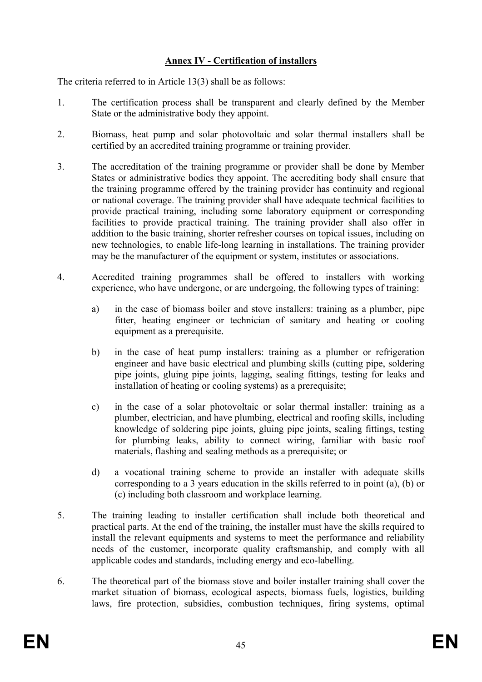## **Annex IV - Certification of installers**

The criteria referred to in Article 13(3) shall be as follows:

- 1. The certification process shall be transparent and clearly defined by the Member State or the administrative body they appoint.
- 2. Biomass, heat pump and solar photovoltaic and solar thermal installers shall be certified by an accredited training programme or training provider.
- 3. The accreditation of the training programme or provider shall be done by Member States or administrative bodies they appoint. The accrediting body shall ensure that the training programme offered by the training provider has continuity and regional or national coverage. The training provider shall have adequate technical facilities to provide practical training, including some laboratory equipment or corresponding facilities to provide practical training. The training provider shall also offer in addition to the basic training, shorter refresher courses on topical issues, including on new technologies, to enable life-long learning in installations. The training provider may be the manufacturer of the equipment or system, institutes or associations.
- 4. Accredited training programmes shall be offered to installers with working experience, who have undergone, or are undergoing, the following types of training:
	- a) in the case of biomass boiler and stove installers: training as a plumber, pipe fitter, heating engineer or technician of sanitary and heating or cooling equipment as a prerequisite.
	- b) in the case of heat pump installers: training as a plumber or refrigeration engineer and have basic electrical and plumbing skills (cutting pipe, soldering pipe joints, gluing pipe joints, lagging, sealing fittings, testing for leaks and installation of heating or cooling systems) as a prerequisite;
	- c) in the case of a solar photovoltaic or solar thermal installer: training as a plumber, electrician, and have plumbing, electrical and roofing skills, including knowledge of soldering pipe joints, gluing pipe joints, sealing fittings, testing for plumbing leaks, ability to connect wiring, familiar with basic roof materials, flashing and sealing methods as a prerequisite; or
	- d) a vocational training scheme to provide an installer with adequate skills corresponding to a 3 years education in the skills referred to in point (a), (b) or (c) including both classroom and workplace learning.
- 5. The training leading to installer certification shall include both theoretical and practical parts. At the end of the training, the installer must have the skills required to install the relevant equipments and systems to meet the performance and reliability needs of the customer, incorporate quality craftsmanship, and comply with all applicable codes and standards, including energy and eco-labelling.
- 6. The theoretical part of the biomass stove and boiler installer training shall cover the market situation of biomass, ecological aspects, biomass fuels, logistics, building laws, fire protection, subsidies, combustion techniques, firing systems, optimal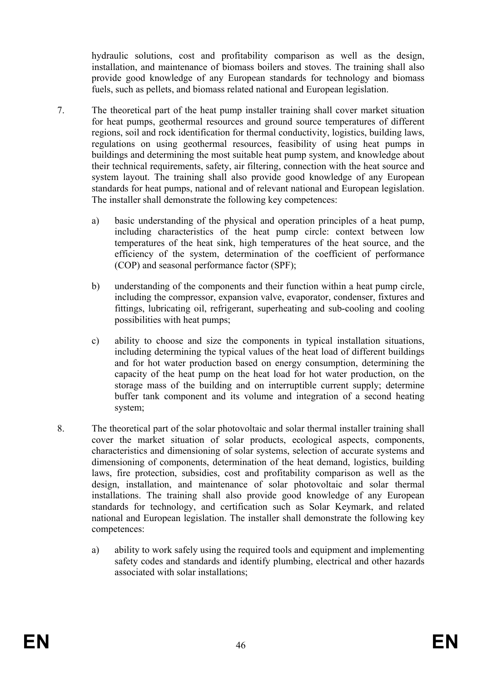hydraulic solutions, cost and profitability comparison as well as the design, installation, and maintenance of biomass boilers and stoves. The training shall also provide good knowledge of any European standards for technology and biomass fuels, such as pellets, and biomass related national and European legislation.

- 7. The theoretical part of the heat pump installer training shall cover market situation for heat pumps, geothermal resources and ground source temperatures of different regions, soil and rock identification for thermal conductivity, logistics, building laws, regulations on using geothermal resources, feasibility of using heat pumps in buildings and determining the most suitable heat pump system, and knowledge about their technical requirements, safety, air filtering, connection with the heat source and system layout. The training shall also provide good knowledge of any European standards for heat pumps, national and of relevant national and European legislation. The installer shall demonstrate the following key competences:
	- a) basic understanding of the physical and operation principles of a heat pump, including characteristics of the heat pump circle: context between low temperatures of the heat sink, high temperatures of the heat source, and the efficiency of the system, determination of the coefficient of performance (COP) and seasonal performance factor (SPF);
	- b) understanding of the components and their function within a heat pump circle, including the compressor, expansion valve, evaporator, condenser, fixtures and fittings, lubricating oil, refrigerant, superheating and sub-cooling and cooling possibilities with heat pumps;
	- c) ability to choose and size the components in typical installation situations, including determining the typical values of the heat load of different buildings and for hot water production based on energy consumption, determining the capacity of the heat pump on the heat load for hot water production, on the storage mass of the building and on interruptible current supply; determine buffer tank component and its volume and integration of a second heating system;
- 8. The theoretical part of the solar photovoltaic and solar thermal installer training shall cover the market situation of solar products, ecological aspects, components, characteristics and dimensioning of solar systems, selection of accurate systems and dimensioning of components, determination of the heat demand, logistics, building laws, fire protection, subsidies, cost and profitability comparison as well as the design, installation, and maintenance of solar photovoltaic and solar thermal installations. The training shall also provide good knowledge of any European standards for technology, and certification such as Solar Keymark, and related national and European legislation. The installer shall demonstrate the following key competences:
	- a) ability to work safely using the required tools and equipment and implementing safety codes and standards and identify plumbing, electrical and other hazards associated with solar installations;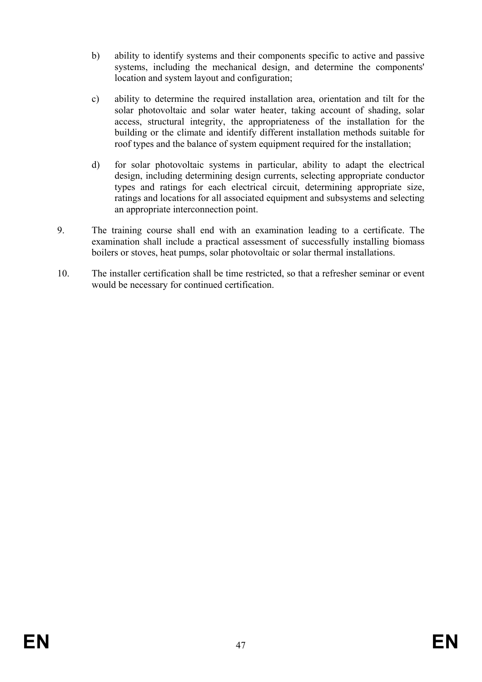- b) ability to identify systems and their components specific to active and passive systems, including the mechanical design, and determine the components' location and system layout and configuration;
- c) ability to determine the required installation area, orientation and tilt for the solar photovoltaic and solar water heater, taking account of shading, solar access, structural integrity, the appropriateness of the installation for the building or the climate and identify different installation methods suitable for roof types and the balance of system equipment required for the installation;
- d) for solar photovoltaic systems in particular, ability to adapt the electrical design, including determining design currents, selecting appropriate conductor types and ratings for each electrical circuit, determining appropriate size, ratings and locations for all associated equipment and subsystems and selecting an appropriate interconnection point.
- 9. The training course shall end with an examination leading to a certificate. The examination shall include a practical assessment of successfully installing biomass boilers or stoves, heat pumps, solar photovoltaic or solar thermal installations.
- 10. The installer certification shall be time restricted, so that a refresher seminar or event would be necessary for continued certification.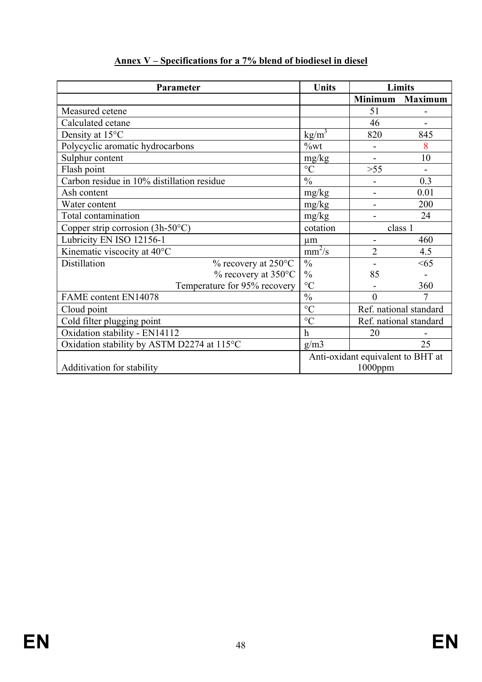| Parameter                                            | <b>Units</b>                      | Limits                 |                |
|------------------------------------------------------|-----------------------------------|------------------------|----------------|
|                                                      |                                   | <b>Minimum</b>         | <b>Maximum</b> |
| Measured cetene                                      |                                   | 51                     |                |
| Calculated cetane                                    |                                   | 46                     |                |
| Density at 15°C                                      | $\text{kg/m}^3$                   | 820                    | 845            |
| Polycyclic aromatic hydrocarbons                     | $\%$ wt                           |                        | 8              |
| Sulphur content                                      | mg/kg                             | $\blacksquare$         | 10             |
| Flash point                                          | $\rm ^{\circ}C$                   | $>55$                  |                |
| Carbon residue in 10% distillation residue           | $\frac{0}{0}$                     |                        | 0.3            |
| Ash content                                          | mg/kg                             |                        | 0.01           |
| Water content                                        | mg/kg                             |                        | 200            |
| Total contamination                                  | mg/kg                             |                        | 24             |
| Copper strip corrosion $(3h-50^{\circ}C)$            | cotation                          | class 1                |                |
| Lubricity EN ISO 12156-1                             | $\mu$ m                           |                        | 460            |
| Kinematic viscocity at 40°C                          | $\frac{1}{\text{mm}^2/\text{s}}$  | $\overline{2}$         | 4.5            |
| Distillation<br>$\%$ recovery at 250 $\rm ^{\circ}C$ | $\frac{0}{0}$                     |                        | <65            |
| $\%$ recovery at 350 $\degree$ C                     | $\frac{0}{0}$                     | 85                     |                |
| Temperature for 95% recovery                         | $\rm ^{\circ}C$                   |                        | 360            |
| FAME content EN14078                                 | $\frac{0}{0}$                     | $\theta$               | 7              |
| Cloud point                                          | $\rm ^{\circ}C$                   | Ref. national standard |                |
| Cold filter plugging point                           | $\rm ^{\circ}C$                   | Ref. national standard |                |
| Oxidation stability - EN14112                        | $\mathbf h$                       | 20                     |                |
| Oxidation stability by ASTM D2274 at 115°C           | g/m3                              |                        | 25             |
|                                                      | Anti-oxidant equivalent to BHT at |                        |                |
| Additivation for stability                           | $1000$ ppm                        |                        |                |

## **Annex V – Specifications for a 7% blend of biodiesel in diesel**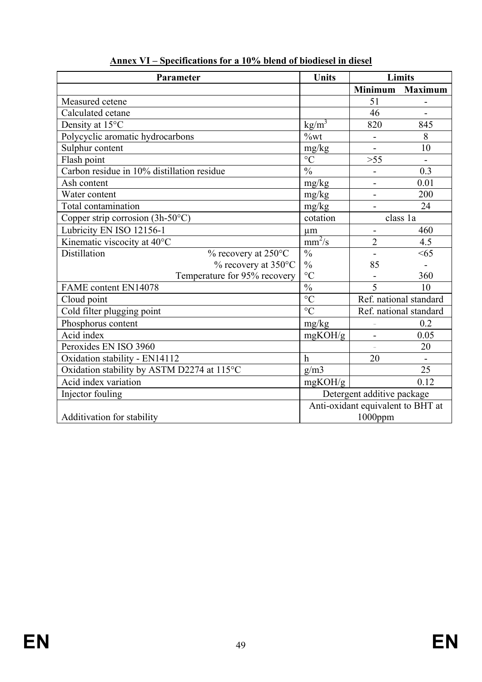| Parameter                                  | <b>Units</b>                      |                          | Limits                 |
|--------------------------------------------|-----------------------------------|--------------------------|------------------------|
|                                            |                                   | <b>Minimum</b>           | <b>Maximum</b>         |
| Measured cetene                            |                                   | 51                       |                        |
| Calculated cetane                          |                                   | 46                       |                        |
| Density at 15°C                            | $\text{kg/m}^3$                   | 820                      | 845                    |
| Polycyclic aromatic hydrocarbons           | $\%$ wt                           |                          | 8                      |
| Sulphur content                            | mg/kg                             |                          | 10                     |
| Flash point                                | $\overline{C}$                    | $>55$                    |                        |
| Carbon residue in 10% distillation residue | $\frac{0}{0}$                     |                          | 0.3                    |
| Ash content                                | mg/kg                             |                          | 0.01                   |
| Water content                              | mg/kg                             | $\overline{\phantom{0}}$ | 200                    |
| <b>Total</b> contamination                 | mg/kg                             |                          | 24                     |
| Copper strip corrosion $(3h-50^{\circ}C)$  | cotation                          | class 1a                 |                        |
| Lubricity EN ISO 12156-1                   | $\mu$ m                           |                          | 460                    |
| Kinematic viscocity at 40°C                | $\frac{1}{\text{mm}^2/\text{s}}$  | $\overline{2}$           | 4.5                    |
| Distillation<br>% recovery at 250°C        | $\overline{\frac{0}{0}}$          |                          | <65                    |
| $%$ recovery at 350 $^{\circ}$ C           | $\frac{0}{0}$                     | 85                       |                        |
| Temperature for 95% recovery               | $\rm ^{\circ}C$                   |                          | 360                    |
| <b>FAME</b> content EN14078                | $\frac{0}{0}$                     | 5                        | 10                     |
| Cloud point                                | $\overline{C}$                    |                          | Ref. national standard |
| Cold filter plugging point                 | $\rm ^{\circ}C$                   |                          | Ref. national standard |
| Phosphorus content                         | mg/kg                             |                          | 0.2                    |
| Acid index                                 | mgKOH/g                           |                          | 0.05                   |
| Peroxides EN ISO 3960                      |                                   |                          | 20                     |
| Oxidation stability - EN14112              | $\mathbf h$                       | 20                       |                        |
| Oxidation stability by ASTM D2274 at 115°C | g/m3                              |                          | 25                     |
| Acid index variation                       | mgKOH/g                           |                          | 0.12                   |
| Injector fouling                           | Detergent additive package        |                          |                        |
|                                            | Anti-oxidant equivalent to BHT at |                          |                        |
| Additivation for stability                 | $1000$ ppm                        |                          |                        |

**Annex VI – Specifications for a 10% blend of biodiesel in diesel**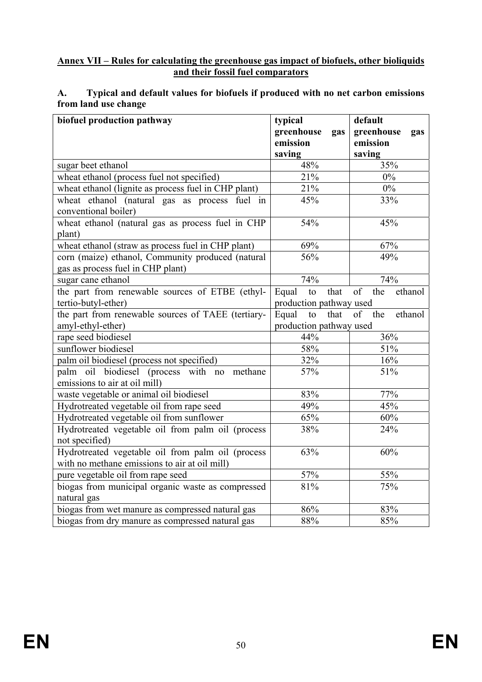#### **Annex VII – Rules for calculating the greenhouse gas impact of biofuels, other bioliquids and their fossil fuel comparators**

#### **A. Typical and default values for biofuels if produced with no net carbon emissions from land use change**

| biofuel production pathway                           | typical                 | default              |
|------------------------------------------------------|-------------------------|----------------------|
|                                                      | greenhouse<br>gas       | greenhouse<br>gas    |
|                                                      | emission                | emission             |
|                                                      | saving                  | saving               |
| sugar beet ethanol                                   | 48%                     | 35%                  |
| wheat ethanol (process fuel not specified)           | 21%                     | $0\%$                |
| wheat ethanol (lignite as process fuel in CHP plant) | 21%                     | $0\%$                |
| wheat ethanol (natural gas as process fuel in        | 45%                     | 33%                  |
| conventional boiler)                                 |                         |                      |
| wheat ethanol (natural gas as process fuel in CHP    | 54%                     | 45%                  |
| plant)                                               |                         |                      |
| wheat ethanol (straw as process fuel in CHP plant)   | 69%                     | 67%                  |
| corn (maize) ethanol, Community produced (natural    | 56%                     | 49%                  |
| gas as process fuel in CHP plant)                    |                         |                      |
| sugar cane ethanol                                   | 74%                     | 74%                  |
| the part from renewable sources of ETBE (ethyl-      | Equal<br>that<br>to     | of<br>the<br>ethanol |
| tertio-butyl-ether)                                  | production pathway used |                      |
| the part from renewable sources of TAEE (tertiary-   | Equal<br>that<br>to     | ethanol<br>of<br>the |
| amyl-ethyl-ether)                                    | production pathway used |                      |
| rape seed biodiesel                                  | 44%                     | 36%                  |
| sunflower biodiesel                                  | 58%                     | 51%                  |
| palm oil biodiesel (process not specified)           | 32%                     | 16%                  |
| palm oil biodiesel (process with no<br>methane       | 57%                     | 51%                  |
| emissions to air at oil mill)                        |                         |                      |
| waste vegetable or animal oil biodiesel              | 83%                     | 77%                  |
| Hydrotreated vegetable oil from rape seed            | 49%                     | 45%                  |
| Hydrotreated vegetable oil from sunflower            | 65%                     | 60%                  |
| Hydrotreated vegetable oil from palm oil (process    | 38%                     | 24%                  |
| not specified)                                       |                         |                      |
| Hydrotreated vegetable oil from palm oil (process    | 63%                     | 60%                  |
| with no methane emissions to air at oil mill)        |                         |                      |
| pure vegetable oil from rape seed                    | 57%                     | 55%                  |
| biogas from municipal organic waste as compressed    | 81%                     | 75%                  |
| natural gas                                          |                         |                      |
| biogas from wet manure as compressed natural gas     | 86%                     | 83%                  |
| biogas from dry manure as compressed natural gas     | 88%                     | 85%                  |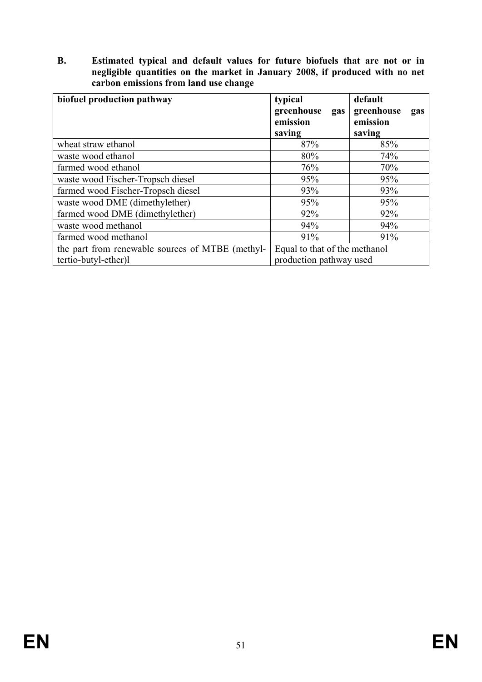**B. Estimated typical and default values for future biofuels that are not or in negligible quantities on the market in January 2008, if produced with no net carbon emissions from land use change** 

| biofuel production pathway                                               | typical<br>greenhouse<br>gas<br>emission<br>saving       | default<br>greenhouse<br>gas<br>emission<br>saving |
|--------------------------------------------------------------------------|----------------------------------------------------------|----------------------------------------------------|
| wheat straw ethanol                                                      | 87%                                                      | 85%                                                |
| waste wood ethanol                                                       | 80%                                                      | 74%                                                |
| farmed wood ethanol                                                      | 76%                                                      | 70%                                                |
| waste wood Fischer-Tropsch diesel                                        | 95%                                                      | 95%                                                |
| farmed wood Fischer-Tropsch diesel                                       | 93%                                                      | 93%                                                |
| waste wood DME (dimethylether)                                           | 95%                                                      | 95%                                                |
| farmed wood DME (dimethylether)                                          | 92%                                                      | 92%                                                |
| waste wood methanol                                                      | 94%                                                      | 94%                                                |
| farmed wood methanol                                                     | 91%                                                      | 91%                                                |
| the part from renewable sources of MTBE (methyl-<br>tertio-butyl-ether)l | Equal to that of the methanol<br>production pathway used |                                                    |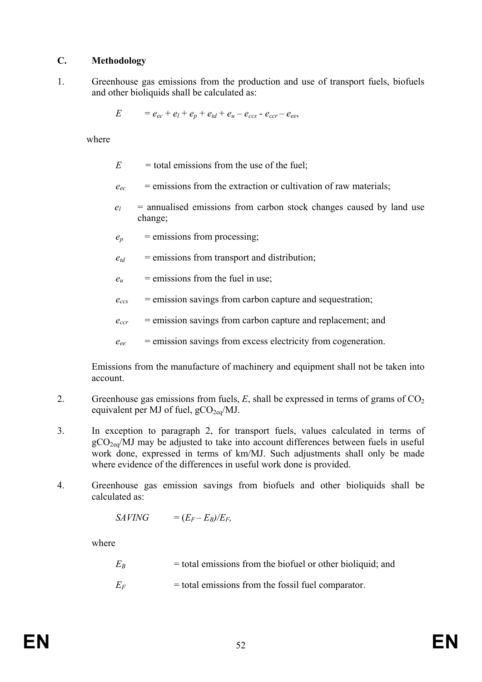#### **C. Methodology**

1. Greenhouse gas emissions from the production and use of transport fuels, biofuels and other bioliquids shall be calculated as:

$$
E = e_{ec} + e_l + e_p + e_{td} + e_u - e_{ccs} - e_{ccr} - e_{ee},
$$

where

- $E =$  total emissions from the use of the fuel;
- $e_{ec}$  = emissions from the extraction or cultivation of raw materials;
- $e_l$  = annualised emissions from carbon stock changes caused by land use change;
- $e_p$  = emissions from processing;
- $e_{td}$  = emissions from transport and distribution;
- $e_u$  = emissions from the fuel in use;
- $e_{ccs}$  = emission savings from carbon capture and sequestration;
- $e_{ccr}$  = emission savings from carbon capture and replacement; and
- $e_{ee}$  = emission savings from excess electricity from cogeneration.

 Emissions from the manufacture of machinery and equipment shall not be taken into account.

- 2. Greenhouse gas emissions from fuels,  $E$ , shall be expressed in terms of grams of  $CO<sub>2</sub>$ equivalent per MJ of fuel,  $gCO_{2eq}/MJ$ .
- 3. In exception to paragraph 2, for transport fuels, values calculated in terms of  $gCO<sub>2eq</sub>/MJ$  may be adjusted to take into account differences between fuels in useful work done, expressed in terms of km/MJ. Such adjustments shall only be made where evidence of the differences in useful work done is provided.
- 4. Greenhouse gas emission savings from biofuels and other bioliquids shall be calculated as:

$$
SAVING = (E_F - E_B)/E_F,
$$

where

 $E_B$  = total emissions from the biofuel or other bioliquid; and

 $E_F$  = total emissions from the fossil fuel comparator.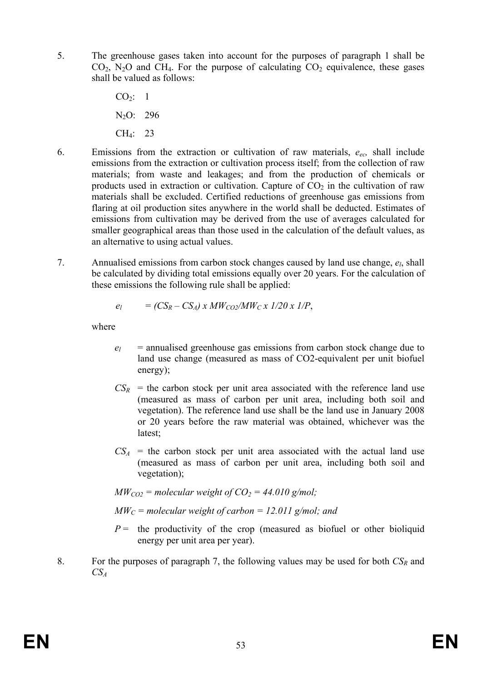- 5. The greenhouse gases taken into account for the purposes of paragraph 1 shall be  $CO<sub>2</sub>$ , N<sub>2</sub>O and CH<sub>4</sub>. For the purpose of calculating  $CO<sub>2</sub>$  equivalence, these gases shall be valued as follows:
	- $CO<sub>2</sub>: 1$  N2O: 296 CH4: 23
- 6. Emissions from the extraction or cultivation of raw materials, *eec,* shall include emissions from the extraction or cultivation process itself; from the collection of raw materials; from waste and leakages; and from the production of chemicals or products used in extraction or cultivation. Capture of  $CO<sub>2</sub>$  in the cultivation of raw materials shall be excluded. Certified reductions of greenhouse gas emissions from flaring at oil production sites anywhere in the world shall be deducted. Estimates of emissions from cultivation may be derived from the use of averages calculated for smaller geographical areas than those used in the calculation of the default values, as an alternative to using actual values.
- 7. Annualised emissions from carbon stock changes caused by land use change, *el*, shall be calculated by dividing total emissions equally over 20 years. For the calculation of these emissions the following rule shall be applied:

$$
e_l = (CS_R - CS_A) \times MW_{CO2}/MW_C \times 1/20 \times 1/P,
$$

where

- $e_l$  = annualised greenhouse gas emissions from carbon stock change due to land use change (measured as mass of CO2-equivalent per unit biofuel energy);
- $CS_R$  = the carbon stock per unit area associated with the reference land use (measured as mass of carbon per unit area, including both soil and vegetation). The reference land use shall be the land use in January 2008 or 20 years before the raw material was obtained, whichever was the latest;
- $CS<sub>A</sub>$  = the carbon stock per unit area associated with the actual land use (measured as mass of carbon per unit area, including both soil and vegetation);
- $MW_{CO2}$  = molecular weight of  $CO_2$  = 44.010 g/mol;
- $MW_C$  = molecular weight of carbon = 12.011 g/mol; and
- $P =$  the productivity of the crop (measured as biofuel or other bioliquid energy per unit area per year).
- 8. For the purposes of paragraph 7, the following values may be used for both  $CS_R$  and  $CS<sub>4</sub>$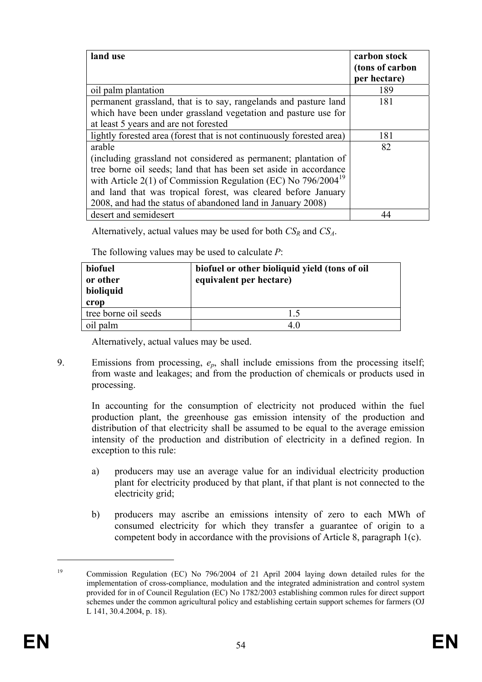| land use                                                              | carbon stock<br>(tons of carbon<br>per hectare) |
|-----------------------------------------------------------------------|-------------------------------------------------|
| oil palm plantation                                                   | 189                                             |
| permanent grassland, that is to say, rangelands and pasture land      | 181                                             |
| which have been under grassland vegetation and pasture use for        |                                                 |
| at least 5 years and are not forested                                 |                                                 |
| lightly forested area (forest that is not continuously forested area) | 181                                             |
| arable                                                                | 82                                              |
| (including grassland not considered as permanent; plantation of       |                                                 |
| tree borne oil seeds; land that has been set aside in accordance      |                                                 |
| with Article 2(1) of Commission Regulation (EC) No $796/2004^{19}$    |                                                 |
| and land that was tropical forest, was cleared before January         |                                                 |
| 2008, and had the status of abandoned land in January 2008)           |                                                 |
| desert and semidesert                                                 | 44                                              |

Alternatively, actual values may be used for both *CSR* and *CSA*.

The following values may be used to calculate *P*:

| biofuel<br>or other<br>bioliquid<br>crop | biofuel or other bioliquid yield (tons of oil<br>equivalent per hectare) |
|------------------------------------------|--------------------------------------------------------------------------|
| tree borne oil seeds                     | 1.5                                                                      |
| oil palm                                 | 4 ()                                                                     |

Alternatively, actual values may be used.

9. Emissions from processing, *ep*, shall include emissions from the processing itself; from waste and leakages; and from the production of chemicals or products used in processing.

 In accounting for the consumption of electricity not produced within the fuel production plant, the greenhouse gas emission intensity of the production and distribution of that electricity shall be assumed to be equal to the average emission intensity of the production and distribution of electricity in a defined region. In exception to this rule:

- a) producers may use an average value for an individual electricity production plant for electricity produced by that plant, if that plant is not connected to the electricity grid;
- b) producers may ascribe an emissions intensity of zero to each MWh of consumed electricity for which they transfer a guarantee of origin to a competent body in accordance with the provisions of Article 8, paragraph 1(c).

1

<sup>&</sup>lt;sup>19</sup> Commission Regulation (EC) No 796/2004 of 21 April 2004 laying down detailed rules for the implementation of cross-compliance, modulation and the integrated administration and control system provided for in of Council Regulation (EC) No 1782/2003 establishing common rules for direct support schemes under the common agricultural policy and establishing certain support schemes for farmers (OJ L 141, 30.4.2004, p. 18).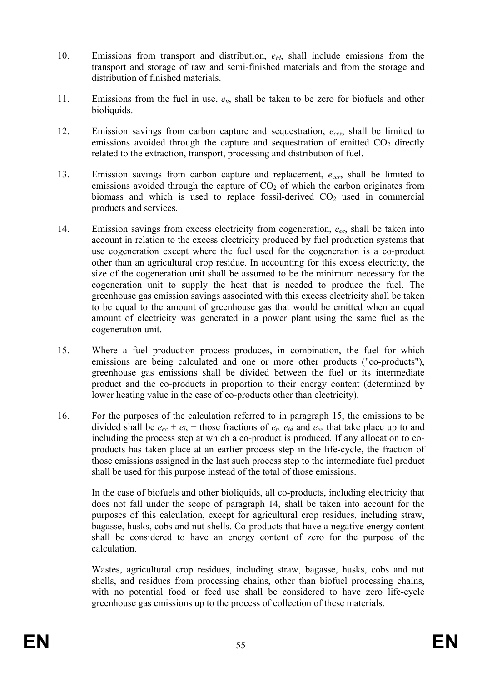- 10. Emissions from transport and distribution, *etd*, shall include emissions from the transport and storage of raw and semi-finished materials and from the storage and distribution of finished materials.
- 11. Emissions from the fuel in use, *eu*, shall be taken to be zero for biofuels and other bioliquids.
- 12. Emission savings from carbon capture and sequestration, *eccs*, shall be limited to emissions avoided through the capture and sequestration of emitted  $CO<sub>2</sub>$  directly related to the extraction, transport, processing and distribution of fuel.
- 13. Emission savings from carbon capture and replacement, *eccr*, shall be limited to emissions avoided through the capture of  $CO<sub>2</sub>$  of which the carbon originates from biomass and which is used to replace fossil-derived  $CO<sub>2</sub>$  used in commercial products and services.
- 14. Emission savings from excess electricity from cogeneration, *eee*, shall be taken into account in relation to the excess electricity produced by fuel production systems that use cogeneration except where the fuel used for the cogeneration is a co-product other than an agricultural crop residue. In accounting for this excess electricity, the size of the cogeneration unit shall be assumed to be the minimum necessary for the cogeneration unit to supply the heat that is needed to produce the fuel. The greenhouse gas emission savings associated with this excess electricity shall be taken to be equal to the amount of greenhouse gas that would be emitted when an equal amount of electricity was generated in a power plant using the same fuel as the cogeneration unit.
- 15. Where a fuel production process produces, in combination, the fuel for which emissions are being calculated and one or more other products ("co-products"), greenhouse gas emissions shall be divided between the fuel or its intermediate product and the co-products in proportion to their energy content (determined by lower heating value in the case of co-products other than electricity).
- 16. For the purposes of the calculation referred to in paragraph 15, the emissions to be divided shall be  $e_{ec} + e_l$ , + those fractions of  $e_p$ ,  $e_{td}$  and  $e_{ee}$  that take place up to and including the process step at which a co-product is produced. If any allocation to coproducts has taken place at an earlier process step in the life-cycle, the fraction of those emissions assigned in the last such process step to the intermediate fuel product shall be used for this purpose instead of the total of those emissions.

 In the case of biofuels and other bioliquids, all co-products, including electricity that does not fall under the scope of paragraph 14, shall be taken into account for the purposes of this calculation, except for agricultural crop residues, including straw, bagasse, husks, cobs and nut shells. Co-products that have a negative energy content shall be considered to have an energy content of zero for the purpose of the calculation.

 Wastes, agricultural crop residues, including straw, bagasse, husks, cobs and nut shells, and residues from processing chains, other than biofuel processing chains, with no potential food or feed use shall be considered to have zero life-cycle greenhouse gas emissions up to the process of collection of these materials.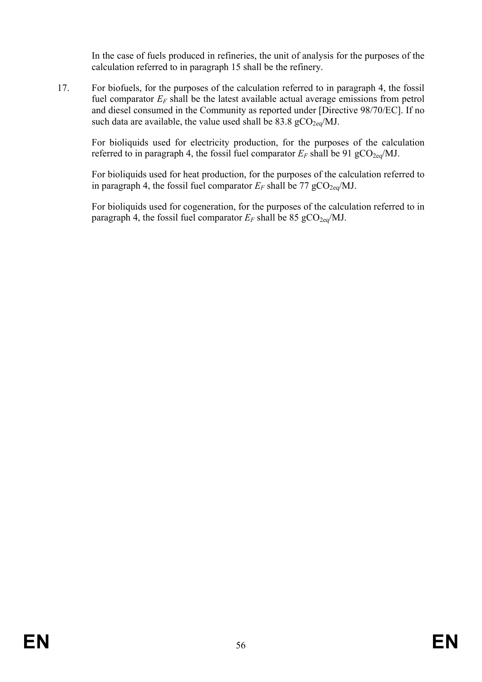In the case of fuels produced in refineries, the unit of analysis for the purposes of the calculation referred to in paragraph 15 shall be the refinery.

17. For biofuels, for the purposes of the calculation referred to in paragraph 4, the fossil fuel comparator  $E_F$  shall be the latest available actual average emissions from petrol and diesel consumed in the Community as reported under [Directive 98/70/EC]. If no such data are available, the value used shall be  $83.8 \text{ gCO}_{2eq}/\text{MJ}$ .

For bioliquids used for electricity production, for the purposes of the calculation referred to in paragraph 4, the fossil fuel comparator  $E_F$  shall be 91 gCO<sub>2eq</sub>/MJ.

For bioliquids used for heat production, for the purposes of the calculation referred to in paragraph 4, the fossil fuel comparator  $E_F$  shall be 77 gCO<sub>2eq</sub>/MJ.

For bioliquids used for cogeneration, for the purposes of the calculation referred to in paragraph 4, the fossil fuel comparator  $E_F$  shall be 85 gCO<sub>2eq</sub>/MJ.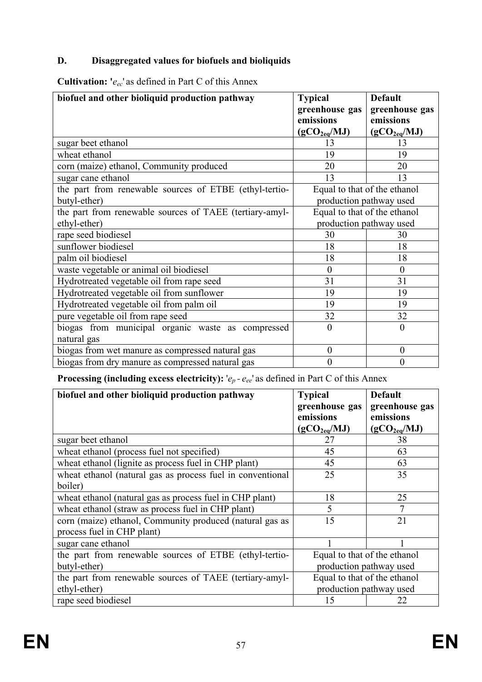## **D. Disaggregated values for biofuels and bioliquids**

**Cultivation: '***eec*' as defined in Part C of this Annex

| biofuel and other bioliquid production pathway          | <b>Typical</b><br>greenhouse gas | <b>Default</b><br>greenhouse gas |
|---------------------------------------------------------|----------------------------------|----------------------------------|
|                                                         | emissions                        | emissions                        |
|                                                         | (gCO <sub>2eq</sub> /MJ)         | (gCO <sub>2eq</sub> /MJ)         |
| sugar beet ethanol                                      | 13                               | 13                               |
| wheat ethanol                                           | 19                               | 19                               |
| corn (maize) ethanol, Community produced                | 20                               | 20                               |
| sugar cane ethanol                                      | 13                               | 13                               |
| the part from renewable sources of ETBE (ethyl-tertio-  | Equal to that of the ethanol     |                                  |
| butyl-ether)                                            |                                  | production pathway used          |
| the part from renewable sources of TAEE (tertiary-amyl- | Equal to that of the ethanol     |                                  |
| ethyl-ether)                                            | production pathway used          |                                  |
| rape seed biodiesel                                     | 30                               | 30                               |
| sunflower biodiesel                                     | 18                               | 18                               |
| palm oil biodiesel                                      | 18                               | 18                               |
| waste vegetable or animal oil biodiesel                 | $\theta$                         | $\theta$                         |
| Hydrotreated vegetable oil from rape seed               | 31                               | 31                               |
| Hydrotreated vegetable oil from sunflower               | 19                               | 19                               |
| Hydrotreated vegetable oil from palm oil                | 19                               | 19                               |
| pure vegetable oil from rape seed                       | 32                               | 32                               |
| biogas from municipal organic waste as compressed       | $\theta$                         | $\theta$                         |
| natural gas                                             |                                  |                                  |
| biogas from wet manure as compressed natural gas        | $\boldsymbol{0}$                 | $\boldsymbol{0}$                 |
| biogas from dry manure as compressed natural gas        | $\overline{0}$                   | $\overline{0}$                   |

# **Processing (including excess electricity):** ' $e_p$  -  $e_{ee}$ ' as defined in Part C of this Annex

| biofuel and other bioliquid production pathway                                         | <b>Typical</b><br>greenhouse gas<br>emissions<br>(gCO <sub>2eq</sub> /MJ) | <b>Default</b><br>greenhouse gas<br>emissions<br>(gCO <sub>2eq</sub> /MJ) |
|----------------------------------------------------------------------------------------|---------------------------------------------------------------------------|---------------------------------------------------------------------------|
| sugar beet ethanol                                                                     | 27                                                                        | 38                                                                        |
| wheat ethanol (process fuel not specified)                                             | 45                                                                        | 63                                                                        |
| wheat ethanol (lignite as process fuel in CHP plant)                                   | 45                                                                        | 63                                                                        |
| wheat ethanol (natural gas as process fuel in conventional<br>boiler)                  | 25                                                                        | 35                                                                        |
| wheat ethanol (natural gas as process fuel in CHP plant)                               | 18                                                                        | 25                                                                        |
| wheat ethanol (straw as process fuel in CHP plant)                                     | 5                                                                         |                                                                           |
| corn (maize) ethanol, Community produced (natural gas as<br>process fuel in CHP plant) | 15                                                                        | 21                                                                        |
| sugar cane ethanol                                                                     |                                                                           |                                                                           |
| the part from renewable sources of ETBE (ethyl-tertio-                                 | Equal to that of the ethanol                                              |                                                                           |
| butyl-ether)                                                                           | production pathway used                                                   |                                                                           |
| the part from renewable sources of TAEE (tertiary-amyl-                                | Equal to that of the ethanol                                              |                                                                           |
| ethyl-ether)                                                                           | production pathway used                                                   |                                                                           |
| rape seed biodiesel                                                                    | 15                                                                        | 22                                                                        |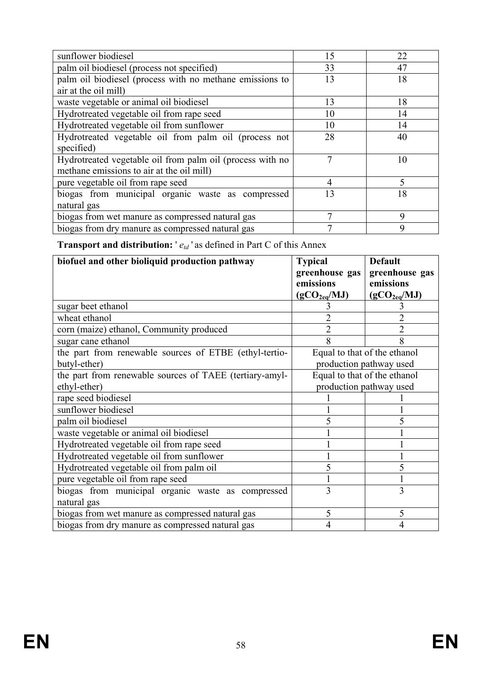| sunflower biodiesel                                       | 15 | 22          |
|-----------------------------------------------------------|----|-------------|
| palm oil biodiesel (process not specified)                | 33 | 47          |
| palm oil biodiesel (process with no methane emissions to  | 13 | 18          |
| air at the oil mill)                                      |    |             |
| waste vegetable or animal oil biodiesel                   | 13 | 18          |
| Hydrotreated vegetable oil from rape seed                 | 10 | 14          |
| Hydrotreated vegetable oil from sunflower                 | 10 | 14          |
| Hydrotreated vegetable oil from palm oil (process not     | 28 | 40          |
| specified)                                                |    |             |
| Hydrotreated vegetable oil from palm oil (process with no |    | 10          |
| methane emissions to air at the oil mill)                 |    |             |
| pure vegetable oil from rape seed                         | 4  |             |
| biogas from municipal organic waste as compressed         | 13 | 18          |
| natural gas                                               |    |             |
| biogas from wet manure as compressed natural gas          |    | $\mathbf Q$ |
| biogas from dry manure as compressed natural gas          |    | $\mathbf Q$ |

**Transport and distribution:** '  $e_{td}$ ' as defined in Part C of this Annex

| biofuel and other bioliquid production pathway          | <b>Typical</b>               | <b>Default</b>               |
|---------------------------------------------------------|------------------------------|------------------------------|
|                                                         | greenhouse gas               | greenhouse gas               |
|                                                         | emissions                    | emissions                    |
|                                                         | $(gCO_{2eq}/MJ)$             | (gCO <sub>2eq</sub> /MJ)     |
| sugar beet ethanol                                      |                              |                              |
| wheat ethanol                                           |                              | 2                            |
| corn (maize) ethanol, Community produced                | 2                            | 2                            |
| sugar cane ethanol                                      |                              |                              |
| the part from renewable sources of ETBE (ethyl-tertio-  |                              | Equal to that of the ethanol |
| butyl-ether)                                            |                              | production pathway used      |
| the part from renewable sources of TAEE (tertiary-amyl- | Equal to that of the ethanol |                              |
| ethyl-ether)                                            | production pathway used      |                              |
| rape seed biodiesel                                     |                              |                              |
| sunflower biodiesel                                     |                              |                              |
| palm oil biodiesel                                      | 5                            |                              |
| waste vegetable or animal oil biodiesel                 |                              |                              |
| Hydrotreated vegetable oil from rape seed               |                              |                              |
| Hydrotreated vegetable oil from sunflower               |                              |                              |
| Hydrotreated vegetable oil from palm oil                | 5                            |                              |
| pure vegetable oil from rape seed                       |                              |                              |
| biogas from municipal organic waste as compressed       | 3                            | 3                            |
| natural gas                                             |                              |                              |
| biogas from wet manure as compressed natural gas        | 5                            | 5                            |
| biogas from dry manure as compressed natural gas        |                              |                              |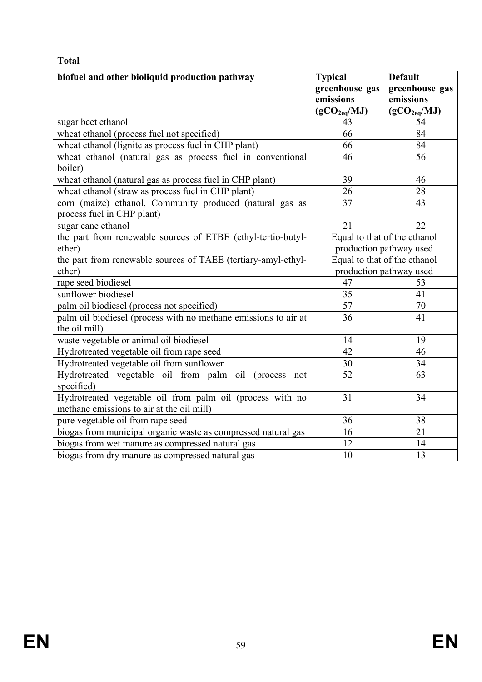# **Total**

| biofuel and other bioliquid production pathway                  | <b>Typical</b><br>greenhouse gas | <b>Default</b><br>greenhouse gas |
|-----------------------------------------------------------------|----------------------------------|----------------------------------|
|                                                                 | emissions                        | emissions                        |
|                                                                 | (gCO <sub>2eq</sub> /MJ)         | (gCO <sub>2eq</sub> /MJ)         |
| sugar beet ethanol                                              | 43                               | 54                               |
| wheat ethanol (process fuel not specified)                      | 66                               | 84                               |
| wheat ethanol (lignite as process fuel in CHP plant)            | 66                               | 84                               |
| wheat ethanol (natural gas as process fuel in conventional      | 46                               | 56                               |
| boiler)                                                         |                                  |                                  |
| wheat ethanol (natural gas as process fuel in CHP plant)        | 39                               | 46                               |
| wheat ethanol (straw as process fuel in CHP plant)              | 26                               | 28                               |
| corn (maize) ethanol, Community produced (natural gas as        | 37                               | 43                               |
| process fuel in CHP plant)                                      |                                  |                                  |
| sugar cane ethanol                                              | 21                               | 22                               |
| the part from renewable sources of ETBE (ethyl-tertio-butyl-    |                                  | Equal to that of the ethanol     |
| ether)                                                          | production pathway used          |                                  |
| the part from renewable sources of TAEE (tertiary-amyl-ethyl-   | Equal to that of the ethanol     |                                  |
| ether)                                                          |                                  | production pathway used          |
| rape seed biodiesel                                             | 47                               | 53                               |
| sunflower biodiesel                                             | $\overline{35}$                  | $\overline{41}$                  |
| palm oil biodiesel (process not specified)                      | $\overline{57}$                  | $\overline{70}$                  |
| palm oil biodiesel (process with no methane emissions to air at | 36                               | 41                               |
| the oil mill)                                                   |                                  |                                  |
| waste vegetable or animal oil biodiesel                         | 14                               | 19                               |
| Hydrotreated vegetable oil from rape seed                       | 42                               | $\overline{46}$                  |
| Hydrotreated vegetable oil from sunflower                       | 30                               | 34                               |
| Hydrotreated vegetable oil from palm oil (process not           | 52                               | 63                               |
| specified)                                                      |                                  |                                  |
| Hydrotreated vegetable oil from palm oil (process with no       | 31                               | 34                               |
| methane emissions to air at the oil mill)                       |                                  |                                  |
| pure vegetable oil from rape seed                               | 36                               | 38                               |
| biogas from municipal organic waste as compressed natural gas   | 16                               | 21                               |
| biogas from wet manure as compressed natural gas                | 12                               | 14                               |
| biogas from dry manure as compressed natural gas                | 10                               | 13                               |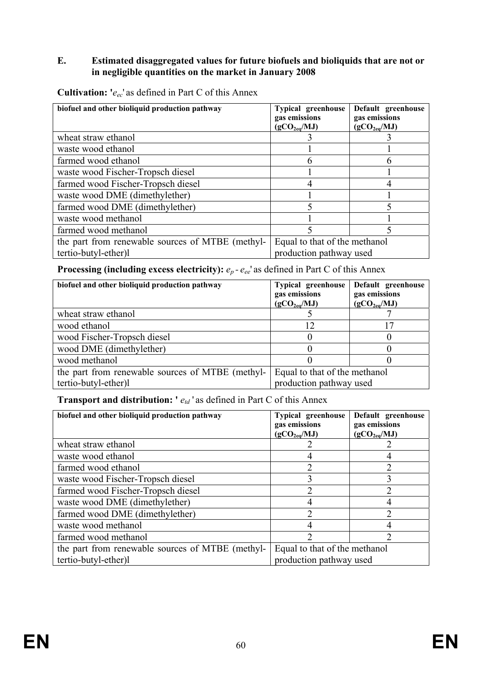#### **E. Estimated disaggregated values for future biofuels and bioliquids that are not or in negligible quantities on the market in January 2008**

| biofuel and other bioliquid production pathway                           | <b>Typical greenhouse</b><br>gas emissions<br>(gCO <sub>2eq</sub> /MJ) | Default greenhouse<br>gas emissions<br>(gCO <sub>2ea</sub> /MJ) |
|--------------------------------------------------------------------------|------------------------------------------------------------------------|-----------------------------------------------------------------|
| wheat straw ethanol                                                      |                                                                        |                                                                 |
| waste wood ethanol                                                       |                                                                        |                                                                 |
| farmed wood ethanol                                                      | n                                                                      |                                                                 |
| waste wood Fischer-Tropsch diesel                                        |                                                                        |                                                                 |
| farmed wood Fischer-Tropsch diesel                                       |                                                                        |                                                                 |
| waste wood DME (dimethylether)                                           |                                                                        |                                                                 |
| farmed wood DME (dimethylether)                                          |                                                                        |                                                                 |
| waste wood methanol                                                      |                                                                        |                                                                 |
| farmed wood methanol                                                     |                                                                        |                                                                 |
| the part from renewable sources of MTBE (methyl-<br>tertio-butyl-ether)l | Equal to that of the methanol<br>production pathway used               |                                                                 |

**Cultivation: '***eec*' as defined in Part C of this Annex

**Processing (including excess electricity):**  $e_p$  -  $e_{ee}$ ' as defined in Part C of this Annex

| biofuel and other bioliquid production pathway   | <b>Typical greenhouse</b><br>gas emissions<br>(gCO <sub>2eq</sub> /MJ) | Default greenhouse<br>gas emissions<br>(gCO <sub>2eq</sub> /MJ) |
|--------------------------------------------------|------------------------------------------------------------------------|-----------------------------------------------------------------|
| wheat straw ethanol                              |                                                                        |                                                                 |
| wood ethanol                                     | 12                                                                     |                                                                 |
| wood Fischer-Tropsch diesel                      |                                                                        |                                                                 |
| wood DME (dimethylether)                         |                                                                        |                                                                 |
| wood methanol                                    |                                                                        |                                                                 |
| the part from renewable sources of MTBE (methyl- | Equal to that of the methanol                                          |                                                                 |
| tertio-butyl-ether)l                             | production pathway used                                                |                                                                 |

## **Transport and distribution:** '  $e_{td}$ ' as defined in Part C of this Annex

| biofuel and other bioliquid production pathway   | <b>Typical greenhouse</b><br>gas emissions<br>(gCO <sub>2eq</sub> /MJ) | Default greenhouse<br>gas emissions<br>(gCO <sub>2eq</sub> /MJ) |
|--------------------------------------------------|------------------------------------------------------------------------|-----------------------------------------------------------------|
| wheat straw ethanol                              |                                                                        |                                                                 |
| waste wood ethanol                               |                                                                        |                                                                 |
| farmed wood ethanol                              |                                                                        | 2                                                               |
| waste wood Fischer-Tropsch diesel                | 3                                                                      | 3                                                               |
| farmed wood Fischer-Tropsch diesel               |                                                                        |                                                                 |
| waste wood DME (dimethylether)                   |                                                                        |                                                                 |
| farmed wood DME (dimethylether)                  | ∍                                                                      | າ                                                               |
| waste wood methanol                              |                                                                        |                                                                 |
| farmed wood methanol                             |                                                                        | າ                                                               |
| the part from renewable sources of MTBE (methyl- | Equal to that of the methanol                                          |                                                                 |
| tertio-butyl-ether)l                             | production pathway used                                                |                                                                 |